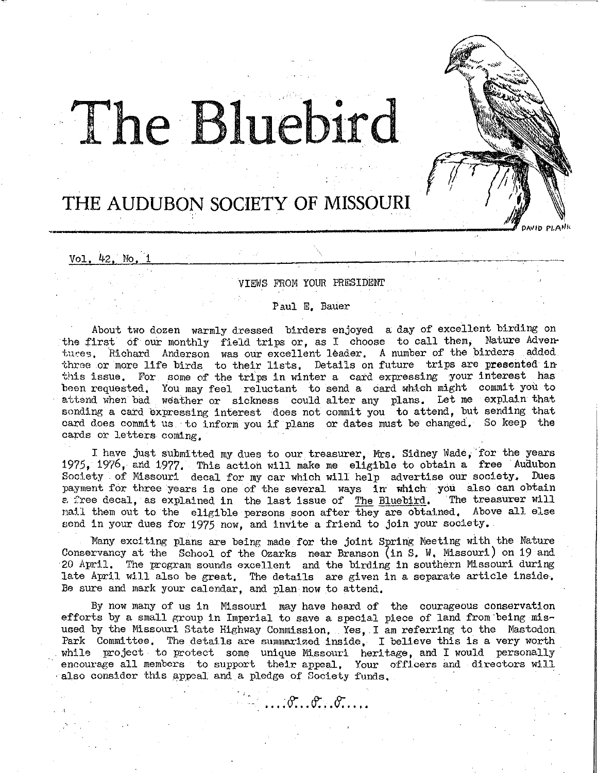# T**The Bluebird**

## **THE AUDUBON SOCIETY OF MISSOURI**

Vol. 42. No

VIEWS FROM YOUR PRESIDENT

DAVID PLANK

Paul E, Bauer

About two dozen warmly dressed birders enjoyed a day of excellent birding on the first of our monthly field trips or, as I choose to call them, Nature Adventures. Richard Anderson was our excellent leader. A number of the birders added three or more life birds to their lists. Details on future trips are presented inthis issue. For some of the trips in winter a card expressing your interest has been requested, You may feel reluctant to send a card which might commit you to attend when bad weather or sickness could alter any plans. Let me explain that sonding a card expressing interest does not commit you to attend, but sending that card does commit us to inform you if plans or dates must be changed, So keep the cards or letters coming,

I have just submitted my dues to our treasurer, Mrs. Sidney \Vade, for the years 1975, 1976, and 1977. This action will make me eligible to obtain a free Audubon Society of Missouri decal for my car which will help advertise our society. Dues payment for three years is one of the several ways  $\hat{1}n$  which you also can obtain a free decal, as explained in the last issue of The Bluebird. The treasurer will *e.* free decal, as explained in the last issue of The Bluebird. nail them out to the eligible persons soon after they are obtained, Above all else send in your dues for 1975 now, and invite a friend to join your society.

Many exciting plans are being made for the joint Spring Meeting with the Nature Conservancy at the School of the Ozarks near Branson (in S. W. Missouri) on 19 and ·20 April, The program sounds excellent and the birding in southern Missouri during late April will also be great, The details are given in a separate article inside, Be sure and mark your calendar, and plan now to attend.

By now many of us in Missouri may have heard of the courageous conservation efforts by a small group in Imperial to save a special piece of land from·being misused by the Missouri State Highway Commission, Yes, I am referring to the Mastodon. Park Committee, The details are summarized inside, I believe this is a very worth while project to protect some unique Missouri heritage, and I would personally encourage all members to support their appeal, Your officers and directors will also consider this appeal and a pledge of Society funds,

**...** <sup>8</sup> **.. ..**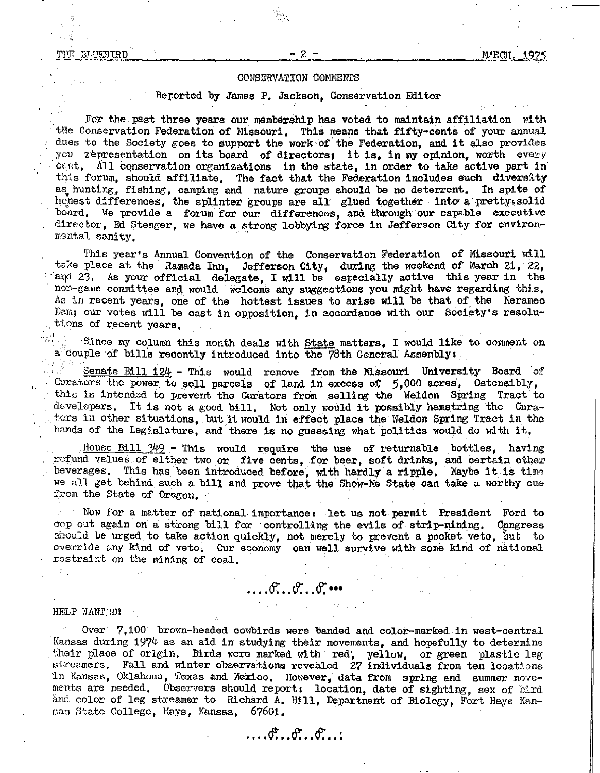#### ፓዞ፱ **BLUEBIRD**

#### CONSERVATION COMMENTS

#### Reported by James P. Jackson, Conservation Editor

For the past three years our membership has voted to maintain affiliation with the Conservation Federation of Missouri. This means that fifty-cents of your annual dues to the Society goes to support the work of the Federation, and it also provides you representation on its board of directors; it is, in my opinion, worth every cent, All conservation organizations in the state, in order to take active part in this forum, should affiliate, The fact that the Federation includes such diversity as hunting, fishing, camping and nature groups should be no deterrent. In spite of honest differences, the splinter groups are all glued together into a pretty solid board, We provide a forum for our differences, and through our capable executive director, Ed Stenger, we have a strong lobbying force in Jefferson City for environmental sanity.

This year's Annual Convention of the Conservation Federation of Missouri will take place at the Ramada Inn, Jefferson City, during the weekend of March 21, 22, and 23. As your official delegate, I will be especially active this year in the non-game committee and would welcome any suggeotions you might have regarding this,  $A$ s in recent years, one of the hottest issues to arise will be that of the Meramec Dam; our votes will be cast in opposition, in accordance with our Society's resolu-<br>tions of recent years.

Since my column this month deals with State matters, I would like to comment on a couple of bills recently introduced into the 78th General Assembly:

Senate Bill  $124$  - This would remove from the Missouri University Board of Curators the power to sell parcels of land in excess of *5,* 000 acres, Ostensibly, this is intended to prevent the Curators from selling the weldon Spring Tract to developers. It is not a good bill. Not only would it possibly hamstring the Curators in other situations, but it would in effect place the Weldon Spring Tract in the hands of the Legislature, and there is no guessing what politics would do with it,

House Bill  $349$  - This would require the use of returnable bottles, having refund values of either two or five cents, for beer, soft drinks, and certain other beverages. This has been introduced before, with hardly a ripple. Maybe it is time we all get behind such a bill and prove that the Show-Me State can take a worthy cue from the State of Oregon.

Now for a matter of national importance: let us not permit President Ford to cop out again on a strong bill for controlling the evils of strip-mining, Congress should be urged to take action quickly, not merely to prevent a pocket veto, but to override any kind of veto, Our economy can well survive with some kind of national restraint on the mining of coal,

## *•••*

HELP WANTED!

Over 7,100 brown-headed cowbirds were banded and color-marked in west-central Kansas during 1974 as an aid in studying their movements, and hopefully to determine their place of origin. Birds were marked with red, yellow, or green plastic leg streamers. Fall and winter observations revealed 27 individuals from ten locations in Kansas, Oklahoma, Texas and Mexico. However, data from spring and summer movements are needed, Observers should report: location, date of sighting, sex of hird and color of leg streamer to Richard A. Hill, Department of Biology, Fort Hays Kansas State College, Hays, Kansas, 67601.

 $\ldots$  or  $\ldots$  or  $\ldots$  .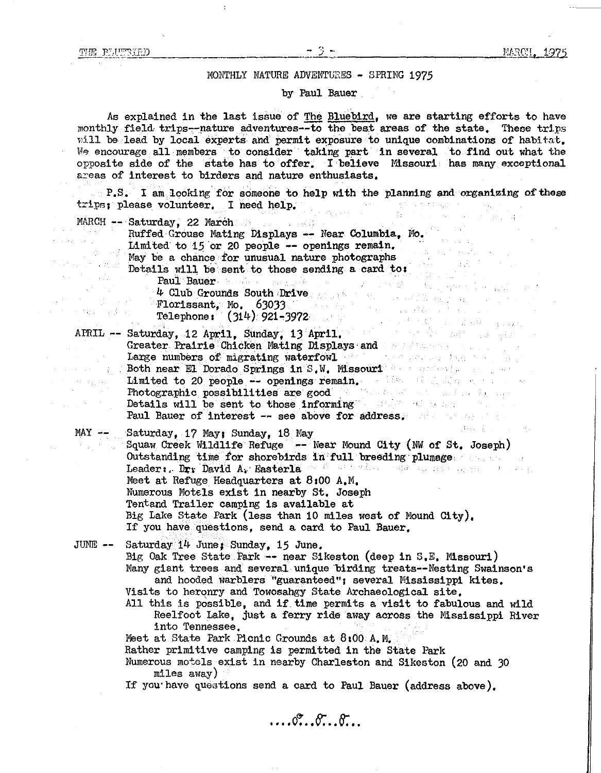$\mathcal{F}=\mathcal{F}(\mathcal{F})$  .

 $\mathcal{F}^{\text{max}}_{\text{max}}$  , where  $\mathcal{F}^{\text{max}}_{\text{max}}$ 中国 编辑 网络 异

Standard Stage

Joseph London

#### MONTHLY NATURE ADVENTURES - SPRING 1975

#### by Paul Bauer

As explained in the last issue of The Bluebird, we are starting efforts to have monthly field trips-nature adventures--to the best areas of the state, These trips will be lead by local experts and permit exposure to unique combinations of habitat. We encourage all members to consider taking part in several to find out what the opposite side of the state has to'offer, I believe Missouri has many exceptional areas of interest to birders and nature enthusiasts,

 $P.S.$  I am looking for someone to help with the planning and organizing of these trips: please volunteer, I need help.

MARCH -- Saturday, 22 March<br>Buffed Grouse Mating Displays -- Ne Ruffed Grouse Mating Displays -- Near Columbia, Mo.<br>Limited to 15 or 20 people -- openings remain. May be a chance for unusual nature photographs Details will be sent to those sending a card to:<br>Details will be sent to those sending a card to:

Paul Bauer and the search of the search of the search of the search of the search of the search of the search of the search of the search of the search of the search of the search of the search of the search of the search 4 Club Grounds South Drive Florissant, Mo. 63033 Telephone : ( 314) 921-3972

APRIL -- Saturday, 12 April, Sunday, 13 April, Greater Prairie Chicken Mating Displays-and Large numbers of migrating waterfowl and the second second second second second second second second second second second second second second second second second second second second second second second second second se **Both near El Dorado Springs in S.W. Missouri Machinese School and September 2018** Limited to 20 people -- openings remain. The state of the state of the state of the state of the state of the state of the state of the state of the state of the state of the state of the state of the state of the state of Photographic possibilities are good Details will be sent to those informing and the sent of the sent of the sent of the sense of the sense of the sense of the sense of the sense of the sense of the sense of the sense of the sense of the sense of the sense of Paul Bauer of interest -- see above for address,

MAY -- Saturday, 17 May; Sunday, 18 May<br>Squaw Creek Wildlife Refuge -- 1 Squaw Creek Wildlife Refuge -- Near Mound City (NW of St. Joseph) Outstanding time *for* shorebirds in full breeding plumage Leader: Dr. David A. Easterla W. B. Martin Martin Communications Meet at Refuge Headquarters at 8:00 A.M. Numerous Motels exist in nearby St. Joseph Tentand Trailer camping is available at Big Lake State Park (less than 10 miles west of Mound City). If you have questions, send a card to Paul Bauer,

JUNE-- Saturday 14 June; Sunday, *15* June, Big Oak Tree State Park -- near Sikeston (deep in S.E. Missouri} Many giant trees and several unique birding treats--Nesting Swainson's and hooded warblers "guaranteed"; several Mississippi kites,

Visits to heronry and Towosahgy State Archaeological site,

All this is possible, and if time permits a visit to fabulous and wild Reelfoot Lake, just a ferry ride away across the Mississippi River into Tennessee,

Meet at State Park Picnic Grounds at 8:00 A, M.

Rather primitive camping is permitted in the State Park

Numerous motels exist in nearby Charleston and Sikeston (20 and 30 miles away)

If you have questions send a card to Paul Bauer (address above},

 $\overline{\mathcal{C}}$ .  $\overline{\mathcal{C}}$ .  $\overline{\mathcal{C}}$ .  $\overline{\mathcal{C}}$ .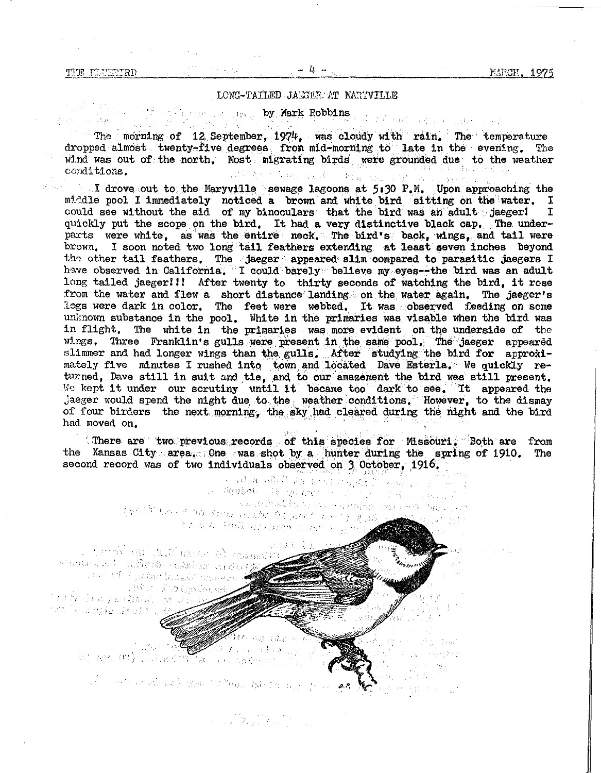And Collection alleged at

#### LONG-TAILED JAEGER AT MARYVILLE

#### **by Mark Robbins**

The morning of 12 September, 1974, was cloudy with rain. The temperature dropped almost twenty-five degrees from mid-morning to late in the evening. The wind was out of the north. Most migrating birds, were grounded due, to the weather conditions. conditions.

I drove out to the Maryville sewage lagoons at  $5:30$  P.M. Upon approaching the middle pool I immediately noticed a brown and white bird sitting on the water. I could see without the aid of my binoculars that the bird was an adult jaeger! I could see without the aid of my binoculars that the bird was an adult jaeger! quickly put the scope on the bird. It had a very distinctive black cap. The underparts were white, as was the entire neck. The bird's back, wings, and tail were brown, I soon noted two long tail feathers extending at least seven inches beyond the other tail feathers. The jaeger appeared slim compared to parasitic jaegers I have observed in California. I could barely believe my eyes--the bird was an adult long tailed jaeger!!! After twenty to thirty seconds of watching the bird, it rose from the water and flew a short distance landing on the water again. The jaeger's legs were dark in color. The feet were webbed. It was observed feeding on some unknown substance in the pool. White in the primaries was visable when the bird was in flight, The white in the primaries was more. evident on the underside of the wings. Three Franklin's gulls were present in the same pool. The jaeger appeared slimmer and had longer wings than the gulls. After studying the bird for approximately five minutes I rushed into town and located Dave Esterla. We quickly returned, Dave still in suit and tie, and to our amazement the bird was still present. We kept it under our scrutiny until it became too dark to see. It appeared the jaeger would spend the night due to the weather conditions. However, to the dismay of four birders the next morning, the sky had cleared during the night and the bird had moved on.

(There are two previous records of this species for Missouri. Both are from the Kansas City area. One was shot by a hunter during the spring of 1910. The second record was of two individuals observed on 3 October, 1916.

external and the distribution of the second second second second second second second second second second second second second second second second second second second second second second second second second second sec assant in L  $\tilde{\mathcal{K}}$  where  $\mathcal{K}$  and  $\mathcal{K}$ i kontrol (1990) et i strandar i de version i diventit y i giu.<br>Il oriente il formato regionizzato in castro y <sub>str</sub>ategit

(decreased) and market b) model al andra vestas entra de estas de la caractería.<br>Estas de la caractería de la caractería de la caractería. which Elatpologist det het Smed paar (Greeke Sopporte) is. time is a right in the 27 of

> $187.$ i di Nat สัตว์ อาร์ก<br>เจ้าเกิด and the control of the second control of the control of the control of the control of the control of the control of the control of the control of the control of the control of the control of the control of the control of t

Commentary (2008) and the Mossourist Company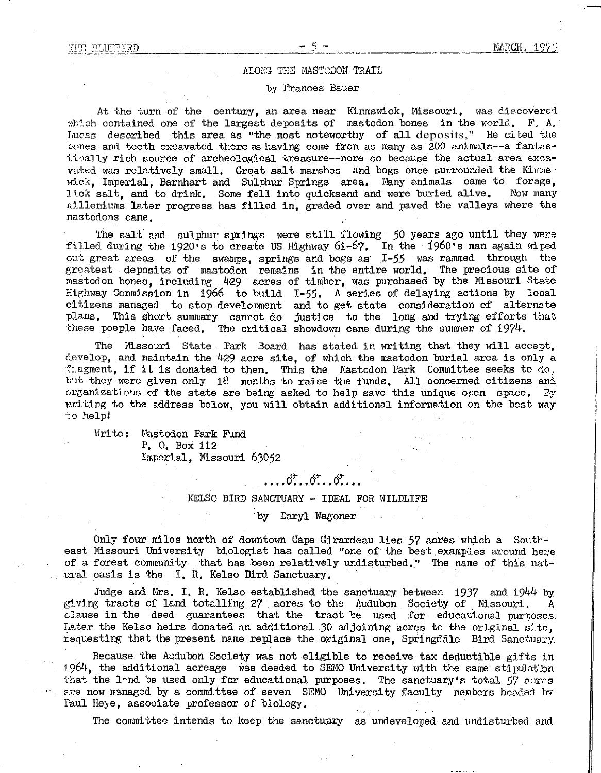#### **ALONG THE MASTODON TRAIL**

#### by Frances Bauer

At the turn of the century, an area near Kimmswick, Missouri, was discovered which contained one of the largest deposits of mastodon bones in the world. F. A. Lucas described this area as "the most noteworthy of all deposits," He cited the bones and teeth excavated there as having come from as many as 200 animals--a fantascically rich source of archeological treasure--more so because the actual area excavated was relatively small. Great salt marshes and bogs once surrounded the Kimmswl.ck, Imperial, Barnhart and Sulphur Springs area, Many animals came to forage, lick salt, and to drink, Some fell into quicksand and were buried alive, Now many milleniums later progress has filled in, graded over and paved the valleys where the mastodons came,

The salt and sulphur springs were still flowing 50 years ago until they were filled during the 1920's to create US Highway 61-67, In the 1960's man again wiped out great areas of the swamps, springs and bogs as I-55 was rammed through the greatest deposits of mastodon remains in the entire world, The precious site of mastodon bones, including 429 acres of timber, was purchased by the Missouri State Highway Commission in 1966 to build I-55. A series of delaying actions by local citizens managed to stop development and to get state consideration of alternate plans. This short summary cannot do justice to the long and trying efforts that these poeple have faced. The critical showdown came during the summer of  $1974$ .

The Missouri State Park Board has stated in writing that they will accept, develop, and maintain the 429 acre site, of which the mastodon burial area is only a fragment, if it is donated to them. This the Mastodon Park Committee seeks to  $d\sigma$ , but they were given only 18 months to raise the funds, All concerned citizens and organizations of the state are being asked to help save this unique open space. By writing to the address below, you will obtain additional information on the best way to help!

Write: Mastodon Park Fund P. O. Box 112 Imperial, Missouri 63052

## **.. ..**

#### KELSO BIRD SANCTUARY - IDEAL FOR WILDLIFE

#### by Daryl Wagoner

Only four miles north of downtown Cape Girardeau lies 57 acres which a Southeast Missouri University biologist has called "one of the best examples around here of a forest community that has been relatively undisturbed," The name of this natural oasis is the I. R. Kelso Bird Sanctuary.

Judge and Mrs. I. R. Kelso established the sanctuary between 1937 and 1944 by gi ving tracts of land totalling 27 acres to the Audubon Society of Missouri. A clause in the deed guarantees that the tract be used for educational purposes, Later the Kelso heirs donated an additional 30 adjoining acres to the original site, requesting that the present name replace the original one, Springdale Bird Sanctuary.

Because the Audubon Society was not eligible to receive tax deductible gifts in 1964, the additional acreage was deeded to SEMO University with the same stipulation that the land be used only for educational purposes. The sanctuary's total 57 acres are now managed by a committee of seven SEMO University faculty members headed by Paul Heye, associate professor of biology,

The committee intends to keep the sanctuary as undeveloped and undisturbed and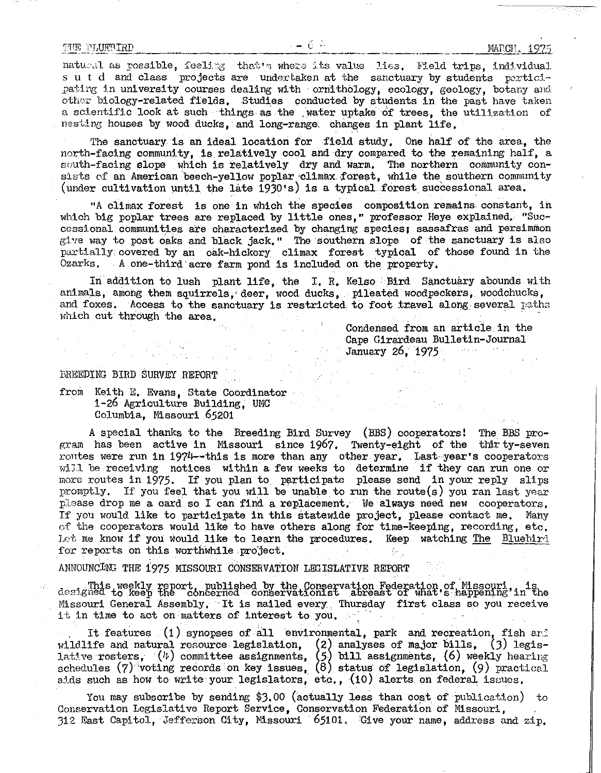natural as possible, feeling that's where its value lies. Field trips, individual sut d and class projects are undertaken at the sanctuary by students participating in university courses dealing with ornithology, ecology, geology, botany and other biology-related fields, Studies conducted by students in the past have taken a scientific look at such things as the .water uptake of trees, the utilization of nesting houses by wood ducks, andlong-range: changes in plant life,

The sanctuary is an ideal location for field study, One half of the area, the north-facing community, is relatively cool and dry compared to the remaining half, a south-facing slope which is relatively dry and warm, The northern community consists of an American beech-yellow poplar climax forest, while the southern community (under cultivation until the late  $1930's$ ) is a typical forest successional area.

"A climax forest is one in which the species composition remains constant, in which big poplar trees are replaced by little ones," professor Heye explained, "Successional communities are characterized by changing species; sassafras and persimmon give way to post oaks and black jack." The southern slope of the sanctuary is also partially covered by an oak-hickory climax forest typical of those found in the Ozarks, A one-third acre farm pond is included on the property,

In addition to lush plant life, the I.R. Kelso Bird Sanctuary abounds with animals, among them squirrels, deer, wood ducks, pileated woodpeckers, woodchucks, and foxes. Access to the sanctuary is restricted to foot travel along several paths which cut through the area.

 $\gamma_{\rm F}$ 

Condensed from an article in the Cape Girardeau Bulletin-Journal January 26, *1975*

#### BREEDING BIRD SURVEY.REPORT

from Keith E. Evans, State Coordinator 1-26 Agriculture Building, UMC Columbia, Missouri 65201

A special thanks to the Breeding Bird Survey (BBS) cooperators! The BBS program has been active in Missouri since 1967. Twenty-eight of the thirty-seven routes were run in 1974--this is more than any other year. Last year's cooperators will be receiving notices within a few weeks to determine if they can run one or more routes in 1975. If you plan to participate please send in your reply slips promptly, If you feel that you will be unable to run the route(s) you ran last year please drop me a card so I can find a replacement. We always need new cooperators, If you would like to participate in this statewide project, please contact me, Many of the cooperators would like to have others along for time-keeping, recording, etc, Let me know if you would like to learn the procedures. Keep watching The Bluebird for reports on this worthwhile project.

ANNOUNCING THE 1975 MISSOURI CONSERVATION LEGISLATIVE REPORT

This weekly report, published by the Conservation Federation of Missouri, is<br>designed to keep the concerned conservationist abreast of what's happening'in the<br>Missouri General Assembly, It is mailed every. Thursday first c it in time to act on matters of interest to you,

It features (1) synopses of all environmental, park and recreation, fish and wildlife and natural resource legislation, (2) analyses of major bills, (3) legislative rosters,  $(\mu)$  committee assignments,  $(5)$  bill assignments,  $(6)$  weekly hearing schedules (7) voting records on key issues, (8) status of legislation, (9) practical aids such as how to write your legislators, etc.,  $(10)$  alerts on federal issues.

You may subscribe by sending \$3.00 (actually less than cost of publication) to Conservation Legislative Report Service, Conservation Federation of Missouri, 312 East Capitol, Jefferson City, Missouri 65101. 'Give your name, address and zip,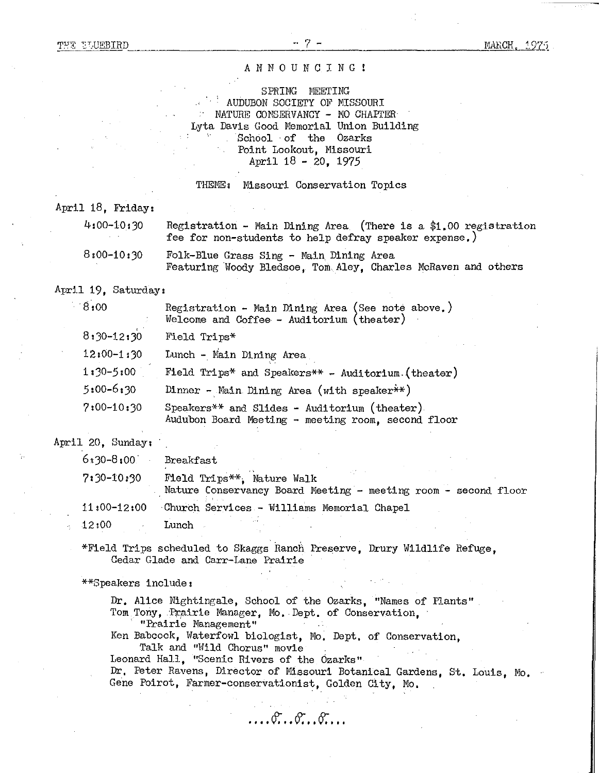#### ANNOUNCING!

SPRING MEETING AUDUBON SOCIETY OF MISSOURI MATURE CONSERVANCY - MO CHAPTER Lyta Davis Good Memorial Union Building School of the Ozarks Point Lookout, Missouri April  $18 - 20$ ,  $1975$ 

THEME: Missouri Conservation Topics

April 18, Friday:

| 4:00-10:30     | Registration - Main Dining Area (There is a \$1,00 registration<br>fee for non-students to help defray speaker expense.) |
|----------------|--------------------------------------------------------------------------------------------------------------------------|
| $8:00 - 10:30$ | Folk-Blue Grass Sing - Main Dining Area<br>Featuring Woody Bledsoe. Tom Aley. Charles McRaven and others                 |

#### April 19, Saturday:

| $0.8^{\circ}$  | Registration - Main Dining Area (See note above.)<br>$Welcome and Coffee - Auditorium (theater)$    |
|----------------|-----------------------------------------------------------------------------------------------------|
| $8:30 - 12:30$ | Field Trips*                                                                                        |
| $12:00 - 1:30$ | Lunch - Main Dining Area                                                                            |
| $1:30-5:00$    | Field Trips* and Speakers** - Auditorium (theater)                                                  |
| $5:00 - 6:30$  | Dinner - Main Dining Area (with speaker ** )                                                        |
| $7:00-10:30$   | Speakers** and Slides - Auditorium (theater).<br>Audubon Board Meeting - meeting room, second floor |

April 20, Sunday:

| $6*30 - 8:00$   | Breakfast                                                                                    |
|-----------------|----------------------------------------------------------------------------------------------|
| $7:30 - 10:30$  | Field Trips**. Nature Walk<br>Nature Conservancy Board Meeting - meeting room - second floor |
| $11:00 - 12:00$ | Church Services - Williams Memorial Chapel                                                   |
| 12:00           | Lunch                                                                                        |

\*Field Trips scheduled to Skaggs Ranch Preserve, Drury Wildlife Refuge, Cedar Glade and Carr-Lane Prairie

\*\*Speakers include:

Dr, Alice Nightingale, School of the Ozarks, "Names of Plants" Tom Tony, Prairie Manager, Mo. Dept. of Conservation,

"Prairie Management"

Ken Babcock, Waterfowl biologist, Mo. Dept, of Conservation,

 $\ldots$  .  $\mathfrak{F} \ldots \mathfrak{F} \ldots \mathfrak{F} \ldots$ 

Talk and "Wild Chorus" movie

Leonard Hall, "Scenic Rivers of the Ozarks"

Dr, Peter Ravens, Director of Missouri Botanical Gardens, St. Louis, Mo. Gene Poirot, Farmer-conservationist, Golden City, Mo,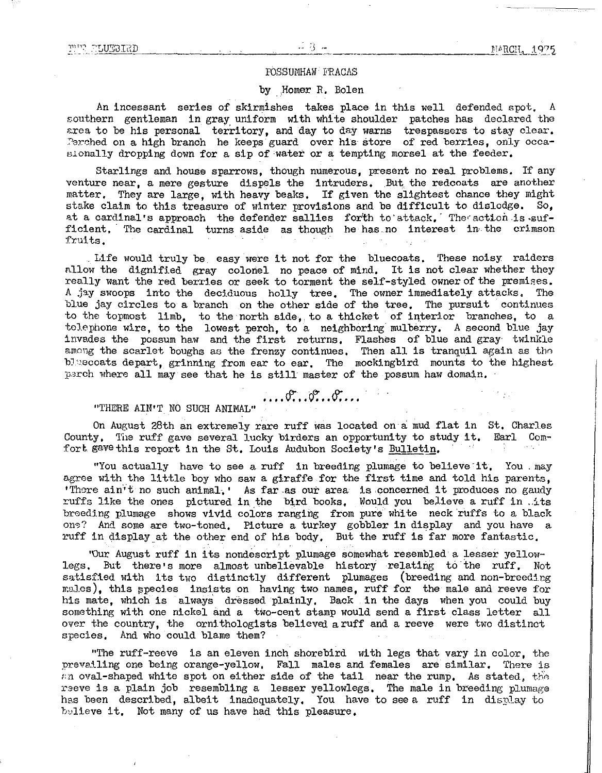#### POSSUMHAW FRACAS

#### by ,Homer R, Bolen

An incessant series of skirmishes takes place in this well defended spot. A southern gentleman in gray uniform with white shoulder patches has declared the area to be his personal territory, and day to day warns trespassers to stay clear, Perched on a high branch he keeps guard over his store of red berries, only occasionally dropping down for a sip of water or a tempting morsel at the feeder,

Starlings and house sparrows, though numerous, present no real problems. If any venture near, a mere gesture dispels the intruders. But the redcoats are another matter, They are large, with heavy beaks, If given the slightest chance they might stake claim to this treasure of winter provisions and be difficult to dislodge. So, at a cardinal's approach the defender sallies forth to attack. The action is sufficient, The cardinal turns aside as though he has no interest in the crimson fruits,

Life would truly be easy were it not for the bluecoats, These noisy raiders allow the dignified gray colonel no peace of mind. It is not clear whether they really want the red beries or seek to torment the self-styled owner of the premises. A jay swoops into the deciduous holly tree, The owner immediately attacks, The blue jay circles to a branch on the other side of the tree, The pursuit continues to the topmost limb, to the north side, to a thicket of interior branches, to a telephone wire, to the lowest perch, to a neighboring mulberry. A second blue jay invades the possum haw and the first returns. Flashes of blue and gray twinkle among the scarlet boughs as the frenzy continues. Then all is tranquil again as the bluecoats depart, grinning from ear to ear. The mockingbird mounts to the highest parch where all may see that he is still master of the possum haw domain,

"THERE AIN'T NO SUCH ANIMAL"  $\cdots$  ...  $\mathcal{F} \dots \mathcal{F} \dots$ 

On August 28th an extremely rare ruff was located on a mud flat in St. Charles County. The ruff gave several lucky birders an opportunity to study it. Earl Comfort gave this report in the St. Louis Audubon Society's Bulletin.

"You actually have to see a ruff in breeding plumage to believe it. You . may agree with the little boy who saw a giraffe for the first time and told his parents, 'There  $\sin$ 't no such animal, ' As far as our area is concerned it produces no gaudy ruffs like the ones pictured in the bird books. Would you believe a ruff in  $.4$ ts breeding plumage shows vivid colors ranging from pure white neck ruffs to a black one? And some are two-toned. Picture a turkey gobbler in display and you have a ruff in display at the other end of his body. But the ruff is far more fantastic.

"Our August ruff in its nondescript plumage somewhat resembled a lesser yellowlegs. But there's more almost unbelievable history relating to the ruff. Not satisfied with its two distinctly different plumages (breeding and non-breeding males), this species insists on having two names, ruff for the male and reeve for his mate, which is always dressed plainly, Back in the days when you could buy something with one nickel and a two-cent stamp would send a first class letter all over the country, the ornithologists believed a ruff and a reeve were two distinct species, And who could blame them?

"The ruff-reeve is an eleven inch shorebird with legs that vary in color, the prevailing one being orange-yellow, Fall males and females are similar, There is an oval-shaped white spot on either side of the tail near the rump. As stated, the reeve is a plain job resembling a lesser yellowlegs. The male in breeding plumage has been described, albeit inadequately. You have to see a ruff in display to believe it. Not many of us have had this pleasure.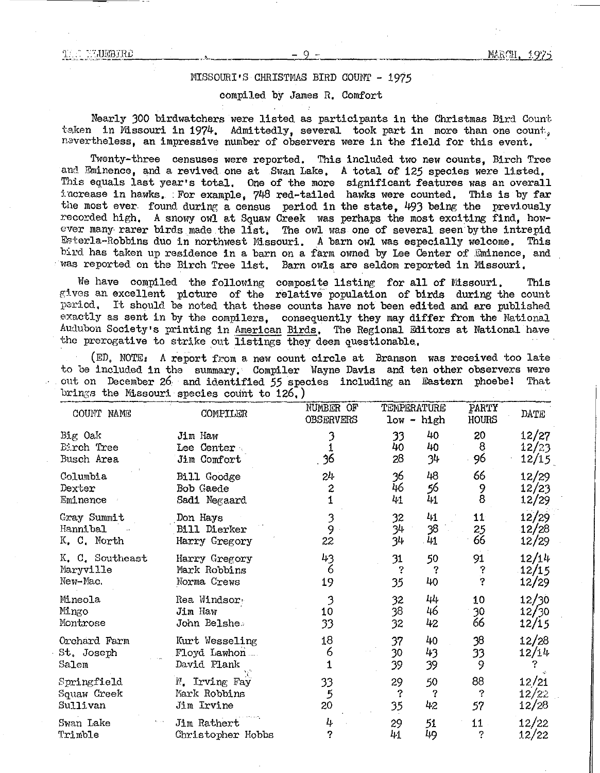WEBIRD

#### Missouri Christmas BIRD Count - 1975

#### compiled by James R, Comfort

Nearly 300 birdwatchers were listed as participants in the Christmas Bird Count. taken in Missouri in 1974. Admittedly, several took part in more than one count. nevertheless, an impressive number of observers were in the field for this event.

Twenty-three censuses were reported, This included two new counts, Birch Tree and. Eminence, and a revived one at Swan Lake, A total *of* 125 species were listed, This equals last year's total, One *of* the more significant features was an overall increase in hawks. For example,  $748$  red-tailed hawks were counted. This is by far the most ever found during a census period in the state. 493 being the previously recorded high, A snowy owl at Squaw Creek was perhaps the most exciting find, however many rarer birds made the list. The owl was one of several seen by the intrepid Esterla-Robbins duo in northwest Missouri A barn owl was especially welcome. This bird has taken up residence in a barn on a farm owned by Lee Center of Eminence, and was reported on the Birch Tree list, Barn owls are seldom reported in Missouri,

We have compiled the following composite listing for all of Missouri. This gives an excellent picture of the relative population of birds during the count. period. It should be noted that these counts have not been edited and are published exactly as sent in by the compilers, consequently they may differ from the National Audubon Society's printing in American Birds, The Regional Editors at National have the prerogative to strike out listings they deem questionable.

(ED, NOTE: A report from a new count circle at Branson was received too late to be included in the summary. Compiler Wayne Davis and ten other observers were out on December 26. and identified *55* species including an Eastern phoebe! That brings the Missouri species count to 126,)

| COUNT NAME                          | COMPILER                                      | NUMBER OF<br><b>OBSERVERS</b> | TEMPERATURE    | $low - high$   | PARTY<br>HOURS | DATE                    |
|-------------------------------------|-----------------------------------------------|-------------------------------|----------------|----------------|----------------|-------------------------|
| Big Oak                             | Jim Haw                                       | 36                            | 33             | 40             | 20             | 12/27                   |
| Eirch Tree                          | Lee Center                                    |                               | 40             | 40             | 8              | 12/23                   |
| Busch Area                          | Jim Comfort                                   |                               | 28             | 34             | 96             | 12/15                   |
| Columbia<br>Dexter<br>Eminence      | Bill Goodge<br>Bob Gaede<br>Sadi Negaard      | 24<br>2                       | 36<br>46<br>41 | 48<br>56<br>41 | 66<br>9<br>8   | 12/29<br>12/23<br>12/29 |
| Gray Summit                         | Don Hays                                      | 3                             | 32             | 41             | 11             | 12/29                   |
| Hannibal                            | Bill Dierker                                  | 9                             | 34             | 38             | 25             | 12/28                   |
| K. C. North                         | Harry Gregory                                 | 22                            | 34             | 41             | 66             | 12/29                   |
| K. C. Southeast                     | Harry Gregory                                 | 43                            | 31             | 50             | 91             | 12/14                   |
| Maryville                           | Mark Robbins                                  | 6                             | ?              | ?              | ?              | 12/15                   |
| New-Mac.                            | Norma Crews                                   | 19                            | 35             | 40             | Ş              | 12/29                   |
| Mineola                             | Rea Windsor                                   | 3                             | 32             | 44             | 10             | 12/30                   |
| Mingo                               | Jim Haw                                       | 10                            | 38             | 46             | 30             | 12/30                   |
| Montrose                            | John Belshe.                                  | 33                            | 32             | 42             | 66             | 12/15                   |
| Orchard Farm<br>St. Joseph<br>Salem | Kurt Wesseling<br>Floyd Lawhon<br>David Plank | 18<br>6                       | 37<br>30<br>39 | 40<br>43<br>39 | 38<br>33<br>9  | 12/28<br>12/14          |
| Springfield                         | N. Irving Fay                                 | 33                            | 29             | 50             | 88             | 12/21                   |
| Squaw Creek                         | Mark Robbins                                  | 5                             | ?              | ?              | ?              | 12/22                   |
| Sullivan                            | Jim Irvine                                    | 20                            | 35             | 42             | 57             | 12/28                   |
| Swan Lake                           | Jim Rathert                                   | 4                             | 29             | 51             | 11             | 12/22                   |
| Trimble                             | Christopher Hobbs                             | ?                             | 41             | 49             | S.             | 12/22                   |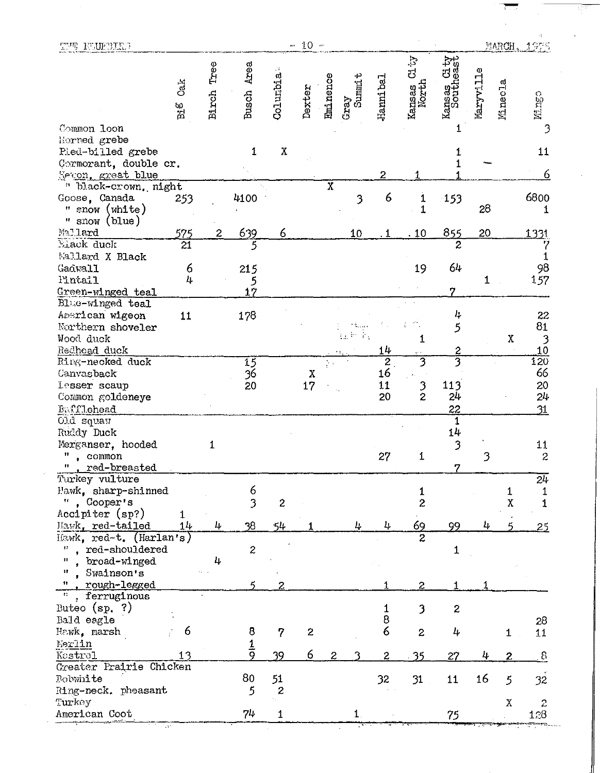| Kansas City<br>Southeast<br>Tree<br>Busch Area<br>Maryville<br>Columbia<br><b>Eminence</b><br>$Gray$<br>Summit<br>Hanni bal<br>Ca.k<br>Minecla<br>Kansas (<br>North<br>Dexter<br>Birch<br>$\mathbf{B}$ is<br>Common loon<br>1<br>Horned grebe<br>$\mathbf X$<br>Pied-billed grebe<br>1<br>1<br>Cormorant, double cr.<br>$\mathbf 1$<br>Mecon, great blue<br>2<br>" black-crown, night<br>$\overline{\mathbf{X}}$<br>Goose, Canada<br>4100<br>253<br>3<br>6<br>153<br>1<br>28<br>" snow $(\text{white})$<br>" snow (blue)<br>639<br>Mallard<br><u> 575</u><br>855<br>20<br>6<br>2<br>10<br>.10<br>$\overline{21}$<br>$\overline{5}$<br>Elack duck<br>$\overline{c}$<br>Mallard X Black<br>64<br>6<br>19<br>Gadwall<br>215<br>4<br>l'intail<br>5<br>1<br>17<br>7<br>Green-winged teal<br>Blue-winged teal<br>178<br>American wigeon<br>11<br>4<br>5<br>Northern shoveler<br>$\mathcal{L}$ .<br>È.<br>Wood duck<br>1<br>Redhoad duck<br>$\frac{2}{3}$<br>14<br>3<br>Ring-necked duck<br>$\overline{2}$<br>15<br>$\sim$<br>16<br>$\frac{36}{20}$<br>Canvasback<br>$\chi$<br>17<br>$\frac{3}{2}$<br>11<br>113<br><b>Lesser</b> scaup<br>20<br>24<br>Common goldeneye<br>22<br>Bafflehead<br><b>Cld</b> squan<br>1<br>$14\,$<br>Ruddy Duck<br>3<br>Merganser, hooded<br>1<br>3<br>11<br>27<br>1<br>, common<br>red-breasted<br>n<br>7<br>Turkey vulture<br>6<br>Hawk, sharp-shinned<br>$\overline{\mathbf{3}}$<br>, Cooper's<br>$\overline{c}$<br>11<br>2<br>Accipiter (sp?)<br>38<br>Mawk, red-tailed<br>4<br>54<br>69<br>$11 +$<br>4<br>4<br>99<br>4<br>Hawk, red-t. (Harlan's)<br>$\overline{c}$<br>. red-shouldered<br>$\boldsymbol{z}$<br>Ħ<br>1<br>broad-winged<br>4<br>Swainson's<br>rough-legged<br>2<br>2<br>, ferruginous<br>Buteo $(sp, ?)$<br>3<br>2<br>8<br>Bald eagle<br>6<br>6<br>8<br>7<br>$\boldsymbol{z}$<br>$\mathbf{2}$<br>4<br>1<br>$rac{1}{9}$<br>Merlin<br>$\epsilon$<br>Kestrel<br>39<br>$\mathbf{2}$<br>4<br>2<br>35<br>27<br>13<br>Greater Frairie Chicken<br>80<br>16<br>51<br>31<br>32<br>11<br>5<br>$\mathbf{z}$ | THE FULBILE |  |  | $-10 -$ |  |       |  | MARCH,      | 1975 |
|-----------------------------------------------------------------------------------------------------------------------------------------------------------------------------------------------------------------------------------------------------------------------------------------------------------------------------------------------------------------------------------------------------------------------------------------------------------------------------------------------------------------------------------------------------------------------------------------------------------------------------------------------------------------------------------------------------------------------------------------------------------------------------------------------------------------------------------------------------------------------------------------------------------------------------------------------------------------------------------------------------------------------------------------------------------------------------------------------------------------------------------------------------------------------------------------------------------------------------------------------------------------------------------------------------------------------------------------------------------------------------------------------------------------------------------------------------------------------------------------------------------------------------------------------------------------------------------------------------------------------------------------------------------------------------------------------------------------------------------------------------------------------------------------------------------------------------------------------------------------------------------------------------------------------------------------------------------------------------------------------------------------------------------------|-------------|--|--|---------|--|-------|--|-------------|------|
|                                                                                                                                                                                                                                                                                                                                                                                                                                                                                                                                                                                                                                                                                                                                                                                                                                                                                                                                                                                                                                                                                                                                                                                                                                                                                                                                                                                                                                                                                                                                                                                                                                                                                                                                                                                                                                                                                                                                                                                                                                         |             |  |  |         |  | Ci ty |  |             |      |
| Hawk, marsh<br><b>Bobwhite</b>                                                                                                                                                                                                                                                                                                                                                                                                                                                                                                                                                                                                                                                                                                                                                                                                                                                                                                                                                                                                                                                                                                                                                                                                                                                                                                                                                                                                                                                                                                                                                                                                                                                                                                                                                                                                                                                                                                                                                                                                          |             |  |  |         |  |       |  |             |      |
|                                                                                                                                                                                                                                                                                                                                                                                                                                                                                                                                                                                                                                                                                                                                                                                                                                                                                                                                                                                                                                                                                                                                                                                                                                                                                                                                                                                                                                                                                                                                                                                                                                                                                                                                                                                                                                                                                                                                                                                                                                         |             |  |  |         |  |       |  |             |      |
|                                                                                                                                                                                                                                                                                                                                                                                                                                                                                                                                                                                                                                                                                                                                                                                                                                                                                                                                                                                                                                                                                                                                                                                                                                                                                                                                                                                                                                                                                                                                                                                                                                                                                                                                                                                                                                                                                                                                                                                                                                         |             |  |  |         |  |       |  |             | 6800 |
|                                                                                                                                                                                                                                                                                                                                                                                                                                                                                                                                                                                                                                                                                                                                                                                                                                                                                                                                                                                                                                                                                                                                                                                                                                                                                                                                                                                                                                                                                                                                                                                                                                                                                                                                                                                                                                                                                                                                                                                                                                         |             |  |  |         |  |       |  |             | 1331 |
|                                                                                                                                                                                                                                                                                                                                                                                                                                                                                                                                                                                                                                                                                                                                                                                                                                                                                                                                                                                                                                                                                                                                                                                                                                                                                                                                                                                                                                                                                                                                                                                                                                                                                                                                                                                                                                                                                                                                                                                                                                         |             |  |  |         |  |       |  |             |      |
|                                                                                                                                                                                                                                                                                                                                                                                                                                                                                                                                                                                                                                                                                                                                                                                                                                                                                                                                                                                                                                                                                                                                                                                                                                                                                                                                                                                                                                                                                                                                                                                                                                                                                                                                                                                                                                                                                                                                                                                                                                         |             |  |  |         |  |       |  |             |      |
|                                                                                                                                                                                                                                                                                                                                                                                                                                                                                                                                                                                                                                                                                                                                                                                                                                                                                                                                                                                                                                                                                                                                                                                                                                                                                                                                                                                                                                                                                                                                                                                                                                                                                                                                                                                                                                                                                                                                                                                                                                         |             |  |  |         |  |       |  |             |      |
| Ring-neck. pheasant                                                                                                                                                                                                                                                                                                                                                                                                                                                                                                                                                                                                                                                                                                                                                                                                                                                                                                                                                                                                                                                                                                                                                                                                                                                                                                                                                                                                                                                                                                                                                                                                                                                                                                                                                                                                                                                                                                                                                                                                                     |             |  |  |         |  |       |  | $\mathbf X$ |      |
|                                                                                                                                                                                                                                                                                                                                                                                                                                                                                                                                                                                                                                                                                                                                                                                                                                                                                                                                                                                                                                                                                                                                                                                                                                                                                                                                                                                                                                                                                                                                                                                                                                                                                                                                                                                                                                                                                                                                                                                                                                         |             |  |  |         |  |       |  |             |      |
|                                                                                                                                                                                                                                                                                                                                                                                                                                                                                                                                                                                                                                                                                                                                                                                                                                                                                                                                                                                                                                                                                                                                                                                                                                                                                                                                                                                                                                                                                                                                                                                                                                                                                                                                                                                                                                                                                                                                                                                                                                         |             |  |  |         |  |       |  |             |      |
|                                                                                                                                                                                                                                                                                                                                                                                                                                                                                                                                                                                                                                                                                                                                                                                                                                                                                                                                                                                                                                                                                                                                                                                                                                                                                                                                                                                                                                                                                                                                                                                                                                                                                                                                                                                                                                                                                                                                                                                                                                         |             |  |  |         |  |       |  |             |      |
|                                                                                                                                                                                                                                                                                                                                                                                                                                                                                                                                                                                                                                                                                                                                                                                                                                                                                                                                                                                                                                                                                                                                                                                                                                                                                                                                                                                                                                                                                                                                                                                                                                                                                                                                                                                                                                                                                                                                                                                                                                         |             |  |  |         |  |       |  |             |      |
|                                                                                                                                                                                                                                                                                                                                                                                                                                                                                                                                                                                                                                                                                                                                                                                                                                                                                                                                                                                                                                                                                                                                                                                                                                                                                                                                                                                                                                                                                                                                                                                                                                                                                                                                                                                                                                                                                                                                                                                                                                         |             |  |  |         |  |       |  | X           |      |
|                                                                                                                                                                                                                                                                                                                                                                                                                                                                                                                                                                                                                                                                                                                                                                                                                                                                                                                                                                                                                                                                                                                                                                                                                                                                                                                                                                                                                                                                                                                                                                                                                                                                                                                                                                                                                                                                                                                                                                                                                                         |             |  |  |         |  |       |  |             |      |
|                                                                                                                                                                                                                                                                                                                                                                                                                                                                                                                                                                                                                                                                                                                                                                                                                                                                                                                                                                                                                                                                                                                                                                                                                                                                                                                                                                                                                                                                                                                                                                                                                                                                                                                                                                                                                                                                                                                                                                                                                                         |             |  |  |         |  |       |  |             |      |
|                                                                                                                                                                                                                                                                                                                                                                                                                                                                                                                                                                                                                                                                                                                                                                                                                                                                                                                                                                                                                                                                                                                                                                                                                                                                                                                                                                                                                                                                                                                                                                                                                                                                                                                                                                                                                                                                                                                                                                                                                                         |             |  |  |         |  |       |  |             |      |
|                                                                                                                                                                                                                                                                                                                                                                                                                                                                                                                                                                                                                                                                                                                                                                                                                                                                                                                                                                                                                                                                                                                                                                                                                                                                                                                                                                                                                                                                                                                                                                                                                                                                                                                                                                                                                                                                                                                                                                                                                                         |             |  |  |         |  |       |  |             |      |
|                                                                                                                                                                                                                                                                                                                                                                                                                                                                                                                                                                                                                                                                                                                                                                                                                                                                                                                                                                                                                                                                                                                                                                                                                                                                                                                                                                                                                                                                                                                                                                                                                                                                                                                                                                                                                                                                                                                                                                                                                                         |             |  |  |         |  |       |  |             |      |
|                                                                                                                                                                                                                                                                                                                                                                                                                                                                                                                                                                                                                                                                                                                                                                                                                                                                                                                                                                                                                                                                                                                                                                                                                                                                                                                                                                                                                                                                                                                                                                                                                                                                                                                                                                                                                                                                                                                                                                                                                                         |             |  |  |         |  |       |  |             |      |
|                                                                                                                                                                                                                                                                                                                                                                                                                                                                                                                                                                                                                                                                                                                                                                                                                                                                                                                                                                                                                                                                                                                                                                                                                                                                                                                                                                                                                                                                                                                                                                                                                                                                                                                                                                                                                                                                                                                                                                                                                                         |             |  |  |         |  |       |  |             |      |
|                                                                                                                                                                                                                                                                                                                                                                                                                                                                                                                                                                                                                                                                                                                                                                                                                                                                                                                                                                                                                                                                                                                                                                                                                                                                                                                                                                                                                                                                                                                                                                                                                                                                                                                                                                                                                                                                                                                                                                                                                                         |             |  |  |         |  |       |  | 2           |      |
|                                                                                                                                                                                                                                                                                                                                                                                                                                                                                                                                                                                                                                                                                                                                                                                                                                                                                                                                                                                                                                                                                                                                                                                                                                                                                                                                                                                                                                                                                                                                                                                                                                                                                                                                                                                                                                                                                                                                                                                                                                         |             |  |  |         |  |       |  | 5           |      |
| Turkey<br>American Coot<br>74<br>$\mathbf{1}$<br>$\mathbf{1}$ .<br>75                                                                                                                                                                                                                                                                                                                                                                                                                                                                                                                                                                                                                                                                                                                                                                                                                                                                                                                                                                                                                                                                                                                                                                                                                                                                                                                                                                                                                                                                                                                                                                                                                                                                                                                                                                                                                                                                                                                                                                   |             |  |  |         |  |       |  | X           |      |

 $\mathcal{A}^{\text{out}}_{\text{out}}$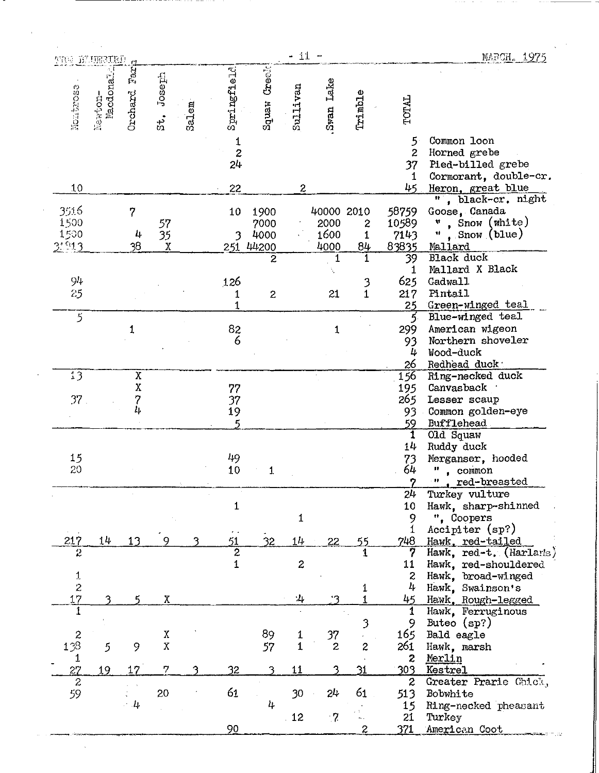| <b>MAS DE URBIRD</b> |                      |                |                                 |       |                                        |                  | $-11 -$          |                |                  |                         | MARCH. 1975                                     |
|----------------------|----------------------|----------------|---------------------------------|-------|----------------------------------------|------------------|------------------|----------------|------------------|-------------------------|-------------------------------------------------|
| Monterese            | Newton-<br>Macdonale | Tac<br>Orchard | Joseph<br>းင်္ဂ                 | Salem | Springfield                            | Squaw Creek      | Sullivan         | Swan Lake      | Trimble          | TOTAL                   |                                                 |
|                      |                      |                |                                 |       |                                        |                  |                  |                |                  | 5                       | Common loon                                     |
|                      |                      |                |                                 |       | $\mathbf{1}$<br>$\overline{c}$         |                  |                  |                |                  | $\overline{2}$          | Horned grebe                                    |
|                      |                      |                |                                 |       | 24                                     |                  |                  |                |                  | 37                      | Pied-billed grebe                               |
| 10                   |                      |                |                                 |       | 22                                     |                  | $\boldsymbol{2}$ |                |                  | 1<br>45                 | Cormorant, double-cr.<br>Heron, great blue      |
|                      |                      |                |                                 |       |                                        |                  |                  |                |                  |                         | ", black-cr. night                              |
| 3516                 |                      | 7              |                                 |       | 10                                     | 1900             |                  | 40000 2010     |                  | 58759                   | Goose, Canada                                   |
| 1500                 |                      |                | 57                              |       |                                        | 7000             |                  | 2000           | 2                | 10589                   | , Snow $(\text{white})$<br>W                    |
| 1500<br>2.913        |                      | 4<br>38        | 35<br>$\boldsymbol{\mathrm{X}}$ |       | 3<br>251                               | 4000<br>44200    |                  | 1600<br>4000   | 1<br>84          | 7143<br>83835           | Snow (blue)<br>11<br>Mallard                    |
|                      |                      |                |                                 |       |                                        | $\overline{2}$   |                  | 1              | 1                | 39                      | Black duck                                      |
|                      |                      |                |                                 |       |                                        |                  |                  |                |                  | 1                       | Mallard X Black                                 |
| 94                   |                      |                |                                 |       | 126                                    |                  |                  |                | 3                | 625                     | Gadwall                                         |
| 25                   |                      |                |                                 |       | 1<br>1                                 | $\boldsymbol{2}$ |                  | 21             | $\overline{1}$   | 217<br>25               | Pintail<br>Green-winged teal                    |
| 5                    |                      |                |                                 |       |                                        |                  |                  |                |                  | 5.                      | Blue-winged teal                                |
|                      |                      | $\mathbf{1}$   |                                 |       | $\begin{array}{c} 82 \\ 6 \end{array}$ |                  |                  | 1              |                  | 299                     | American wigeon                                 |
|                      |                      |                |                                 |       |                                        |                  |                  |                |                  | 93                      | Northern shoveler                               |
|                      |                      |                |                                 |       |                                        |                  |                  |                |                  | 4                       | Wood-duck                                       |
| 13                   |                      | χ              |                                 |       |                                        |                  |                  |                |                  | 26<br>156               | Redhead duck<br>Ring-necked duck                |
|                      |                      | χ              |                                 |       | 77                                     |                  |                  |                |                  | 195                     | Canvasback                                      |
| 37 <sub>1</sub>      |                      | 7              |                                 |       | 37                                     |                  |                  |                |                  | 265                     | Lesser scaup                                    |
|                      |                      | 4              |                                 |       | 19                                     |                  |                  |                |                  | 93.                     | Common golden-eye                               |
|                      |                      |                |                                 |       | 5                                      |                  |                  |                |                  | 59<br>1                 | Bufflehead<br>Old Squaw                         |
|                      |                      |                |                                 |       |                                        |                  |                  |                |                  | 14                      | Ruddy duck                                      |
| 15                   |                      |                |                                 |       | 49                                     |                  |                  |                |                  | 73                      | Merganser, hooded                               |
| 20                   |                      |                |                                 |       | 10                                     | $\mathbf{1}$     |                  |                |                  | 64                      | Ħ<br>, common                                   |
|                      |                      |                |                                 |       |                                        |                  |                  |                |                  | D                       | red-breasted<br>- 11                            |
|                      |                      |                |                                 |       | $\mathbf{1}$                           |                  |                  |                |                  | 24<br>10                | Turkey vulture<br>Hawk, sharp-shinned           |
|                      |                      |                |                                 |       |                                        |                  | $\mathbf 1$      |                |                  | 9                       | ", Coopers                                      |
|                      |                      |                |                                 |       |                                        |                  |                  |                |                  | 1                       | Accipiter (sp?)                                 |
| 217                  | 14                   | 13             | Q                               |       | 51                                     | 32               | 14               | 22             | 55               | 748                     | Hawk, red-tailed                                |
| 2                    |                      |                |                                 |       | $\overline{2}$<br>$\mathbf{1}$         |                  | $\overline{c}$   |                | 1                | 11                      | Hawk, red-t. (Harlaris)<br>Hawk, red-shouldered |
|                      |                      |                |                                 |       |                                        |                  |                  |                |                  | $\mathbf{z}$            | Hawk, broad-winged                              |
| $\frac{1}{2}$        |                      |                |                                 |       |                                        |                  |                  |                | 1                | 4                       | Hawk, Swainson's                                |
| 17                   |                      |                | $\boldsymbol{\mathrm{X}}$       |       |                                        |                  | :4               | '?             | $\mathbf{1}$     | 45                      | Hawk, Rough-legged                              |
| 1                    |                      |                |                                 |       |                                        |                  |                  |                | $\mathfrak{Z}$   | 1<br>9                  | Hawk, Ferruginous<br>Buteo $(sp?)$              |
| $\boldsymbol{z}$     |                      |                | $\mathbf X$                     |       |                                        | 89               | $\mathbf{1}$     | 37             |                  | 165                     | Bald eagle                                      |
| 138                  | 5                    | 9              | $\bar{\text{X}}$                |       |                                        | 57               | $\mathbf{1}$     | $\overline{c}$ | $\boldsymbol{z}$ | 261                     | Hawk, marsh                                     |
| 1                    |                      |                |                                 |       |                                        |                  |                  |                |                  | $\mathbf{c}$            | Merlin                                          |
| 27<br>$\overline{2}$ | 19                   | 17             | 7                               | 3     | 32                                     | 3                | 11               |                | 31               | 303                     | Kestrel                                         |
| 59                   |                      |                | 20                              |       | 61                                     |                  | 30               | 24             | 61               | $\boldsymbol{z}$<br>513 | Greater Prarie Chick,<br>Bobwhite               |
|                      |                      | $\sim 4$       |                                 |       |                                        | 4                |                  |                |                  | 15                      | Ring-necked pheasant                            |
|                      |                      |                |                                 |       |                                        |                  | 12               | $\cdot$ 7.     |                  | 21                      | Turkey                                          |
|                      |                      |                |                                 |       | 90                                     |                  |                  |                | 2                | 371                     | American Coot                                   |

 $\mathcal{L}_{\text{max}}$ 

 $\sqrt{2}$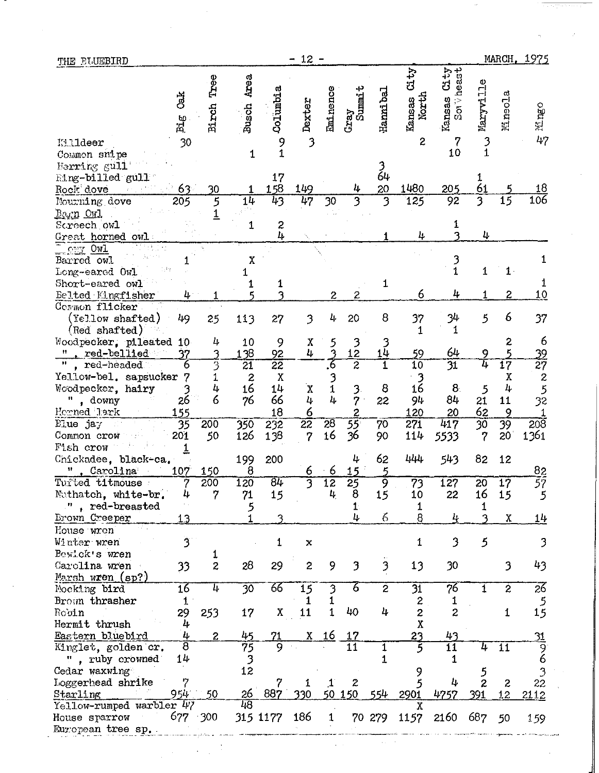| THE BUJEBIRD                     |                         |                  |                           |                       | $12 -$<br>⇒                       |                      |                       |                         |                                           |                                          |                            |                         | MARCH, 1975                                 |
|----------------------------------|-------------------------|------------------|---------------------------|-----------------------|-----------------------------------|----------------------|-----------------------|-------------------------|-------------------------------------------|------------------------------------------|----------------------------|-------------------------|---------------------------------------------|
| Killdeer<br>Common snipe         | da<br>3<br>Big<br>30    | Tree<br>Birch    | Busch Area<br>$\mathbf 1$ | Columbia<br>9<br>1    | Dexter<br>$\overline{\mathbf{3}}$ | Eminence             | $Gxay$<br>Summit      | Hanni bal               | City<br>Kansas<br>North<br>$\overline{c}$ | CLty<br>Soily deast<br>Kansas<br>7<br>10 | Maryville<br>$\frac{3}{1}$ | Mineola                 | Mingo<br>47                                 |
| Herring gull<br>hing-billed gull |                         |                  |                           | 17                    |                                   |                      |                       | 3<br>64                 |                                           |                                          | 1                          |                         |                                             |
| Rock dove                        | 63                      | 30               |                           | 158                   | 149                               |                      | 4                     | $\overline{20}$         | 1480                                      | 205                                      | $\overline{61}$            |                         | <u> 18</u>                                  |
| Nourning dove                    | 205                     | 5                | 14                        | 43                    | $\overline{47}$                   | 30                   | $\overline{3}$        | 3                       | 125                                       | 92                                       | $\overline{3}$             | $\overline{15}$         | 106                                         |
| Barn Owl                         |                         | $\overline{1}$   |                           |                       |                                   |                      |                       |                         |                                           |                                          |                            |                         |                                             |
| Scroech owl                      |                         |                  | 1                         | $\frac{2}{4}$         |                                   |                      |                       |                         |                                           |                                          |                            |                         |                                             |
| Great horned owl                 |                         |                  |                           |                       |                                   |                      |                       |                         | 4                                         |                                          | 4                          |                         |                                             |
| <b>OWI</b><br>Barred owl         |                         |                  | χ                         |                       |                                   |                      |                       |                         |                                           |                                          |                            |                         | 1                                           |
| Long-eared Owl                   |                         |                  | 1                         |                       |                                   |                      |                       |                         |                                           | 3<br>1                                   | 1                          | 1                       |                                             |
| Short-eared owl                  |                         |                  |                           | 1                     |                                   |                      |                       | 1                       |                                           |                                          |                            |                         | 1                                           |
| Belted Kingfisher                | 4                       |                  |                           |                       |                                   | 2                    | 2                     |                         | 6                                         | 4                                        | 1                          | $\overline{\mathbf{c}}$ | 10                                          |
| Cormon flicker                   |                         |                  |                           |                       |                                   |                      |                       |                         |                                           |                                          |                            |                         |                                             |
| ${\rm (Fe)1ow\;shaffed)}$        | 49                      | 25               | 113                       | 27                    | 3                                 | 4                    | 20                    | 8                       | 37                                        | 34                                       | 5                          | 6                       | 37                                          |
| (Red shafted)                    |                         |                  |                           |                       |                                   |                      |                       |                         | 1                                         | 1                                        |                            |                         |                                             |
| Woodpecker, pileated             | 10                      | 4                | 10                        | 9                     | X<br>4                            | うろ                   | $\frac{3}{12}$        | 3<br>14                 |                                           | 64                                       |                            | $\boldsymbol{z}$        | 6                                           |
| red-bellied<br>red-headed        | 37<br>6                 | 3<br>3           | 138<br>$\overline{21}$    | 92<br>$\overline{22}$ |                                   | 6                    | $\overline{2}$        | $\overline{\mathbf{1}}$ | 59<br>$\overline{10}$                     | $\overline{31}$                          | 9<br>4                     | 5<br>$\overline{17}$    | $\frac{39}{27}$                             |
| Yellow-bel. sapsucker            |                         | 1                | $\boldsymbol{z}$          | X                     |                                   |                      |                       |                         | 3                                         |                                          |                            | χ                       |                                             |
| Woodpecker, hairy                | 3                       |                  | 16                        | 14                    | X                                 | $\frac{3}{1}$        | 3                     | 8                       | 16                                        | 8                                        | 5                          | 4                       | $\begin{array}{c} 2 \\ 5 \\ 32 \end{array}$ |
| Η<br>, downy                     | 26                      | 4<br>6           | 76                        | 66                    | 4                                 | 4                    | $\overline{7}$        | 22                      | 94                                        | 84                                       | 21                         | 11                      |                                             |
| Horned lark                      | 155                     |                  |                           | 18                    | $\overline{6}$                    |                      | 2                     |                         | 120                                       | 20                                       | 62                         | 9                       | 1                                           |
| Elue ja $\mathcal{J}$            | 35                      | 200              | 350                       | 232                   | $\overline{22}$                   | $\overline{28}$      | 55                    | 70                      | 271                                       | 417                                      | 30                         | 39                      | 208                                         |
| Common crow                      | 201                     | 50               | 126                       | 138                   | 7                                 | 16                   | 36                    | 90                      | 114                                       | 5533                                     | 7                          | 20                      | 1361                                        |
| Fish crow                        | $\overline{1}$          |                  |                           |                       |                                   |                      |                       |                         |                                           |                                          |                            |                         |                                             |
| Chickadee, black-ca.             |                         |                  | 199                       | 200                   |                                   |                      | 4                     | 62<br>5                 | 444                                       | 543                                      | 82                         | 12                      |                                             |
| Carolina<br>Turted titmouse      | 107<br>7                | 150<br>200       | 8<br>120                  | ८म                    | 6<br>$\overline{3}$               | 6<br>$\overline{12}$ | 15<br>$\overline{25}$ | ब्र                     | $\overline{73}$                           | 127                                      | 20                         | $\overline{17}$         | $\frac{82}{57}$                             |
| Nuthatch, white-br.              | 4                       | 7                | 71                        | 15                    |                                   | 4                    | 8                     | 15                      | 10                                        | 22                                       | 16                         | 15                      | 5                                           |
| ", red-breasted                  |                         |                  | 5                         |                       |                                   |                      | 1.                    |                         | 1                                         |                                          |                            |                         |                                             |
| Brown Creeper                    | 1.3                     |                  |                           |                       |                                   |                      | 4                     | 6                       | 8                                         | 4                                        |                            | $\mathbf X$             | 14                                          |
| House wren                       |                         |                  |                           |                       |                                   |                      |                       |                         |                                           |                                          |                            |                         |                                             |
| Winter wren                      | $\overline{\mathbf{3}}$ |                  |                           | 1.                    | $\mathbf x$                       |                      |                       |                         | 1                                         | 3                                        | 5                          |                         | 3                                           |
| Bewick's wren                    |                         | 1                |                           |                       |                                   |                      |                       |                         |                                           |                                          |                            |                         |                                             |
| Carolina wren                    | 33                      | $\overline{c}$   | 28                        | 29                    | $\overline{c}$                    | 9                    | 3                     | $\overline{\mathbf{3}}$ | 13                                        | 30                                       |                            | 3                       | 43                                          |
| Marsh wren (sp?)                 | 16                      | 4                | $\overline{30}$           | 66                    |                                   |                      | 6                     | $\overline{c}$          |                                           | 76                                       | $\mathbf{1}$               | $\overline{2}$          |                                             |
| Mocking bird<br>Brown thrasher   | $\mathbf{1}$            |                  |                           |                       | 15<br>1                           |                      |                       |                         | $3\overline{1}$<br>2                      | 1                                        |                            |                         | 26<br>$\mathfrak{S}$                        |
| Robin                            | 29                      | 253              | 17                        | X                     | 11                                |                      | 40                    | 4                       | $\boldsymbol{2}$                          | 2                                        |                            | 1                       | 15                                          |
| Hermit thrush                    | 4                       |                  |                           |                       |                                   |                      |                       |                         | X                                         |                                          |                            |                         |                                             |
| Eastern bluebird                 | 4                       | $\boldsymbol{z}$ | 45                        |                       | χ                                 | <u> 16</u>           | <u> 17</u>            |                         | 23                                        | 43                                       |                            |                         | $\frac{31}{9}$                              |
| Kinglet, golden cr.              | T                       |                  | $\overline{75}$           |                       |                                   |                      | $\overline{11}$       | 1                       |                                           | $\overline{11}$                          | 4                          | 11                      |                                             |
| ", ruby crowned                  | 14                      |                  | $\mathfrak{Z}$            |                       |                                   |                      |                       | 1                       |                                           |                                          |                            |                         |                                             |
| Cedar waxwing                    |                         |                  | $1\bar{2}$                |                       |                                   |                      |                       |                         |                                           |                                          |                            |                         |                                             |
| Loggerhead shrike<br>Starling    | 954                     | 50               | <u> 26</u>                | 887                   |                                   | 50                   | 2<br>150              | 554                     | 2901                                      | 4<br>4757                                | 2<br>391                   | $\boldsymbol{2}$        | 22                                          |
| Yellow-rumped warbler 47         |                         |                  | 48                        |                       |                                   |                      |                       |                         | Χ                                         |                                          |                            | 12                      | 2112                                        |
| House sparrow                    |                         | 677 300          |                           | 315 1177              | 186                               | $\mathbf{1}$         |                       | 70 279                  | 1157                                      | 2160                                     | 687                        | 50                      | 159                                         |
| European tree sp.                |                         |                  |                           |                       |                                   |                      |                       |                         |                                           |                                          |                            |                         |                                             |

 $\hat{\mathcal{L}}_{\text{max}}$ 

 $\mathcal{L}^{\text{c}}$  and  $\mathcal{L}^{\text{c}}$ 

 $\frac{1}{2}$ 

 $\frac{1}{2}$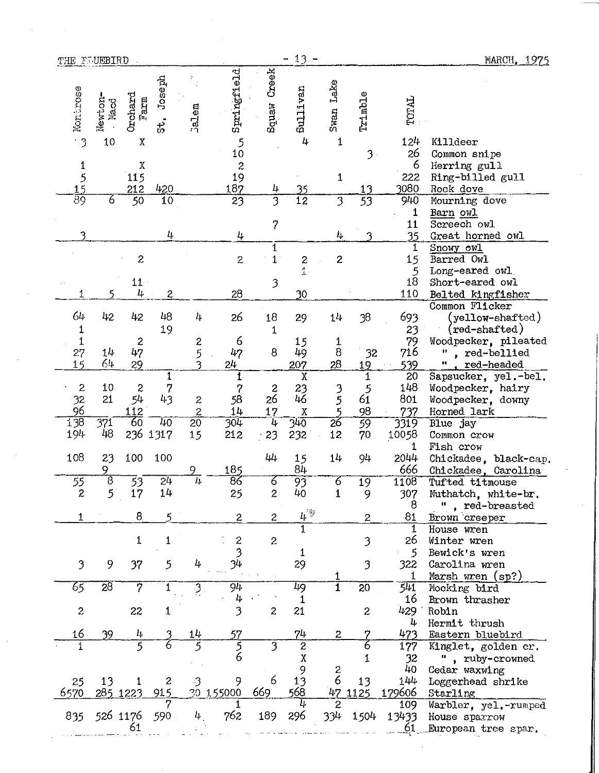| THE FULLERD           |                              |                           |                          |                 |                                        |                          | $13 -$<br>-         |                          |                |                     | MARCH, 1975                         |
|-----------------------|------------------------------|---------------------------|--------------------------|-----------------|----------------------------------------|--------------------------|---------------------|--------------------------|----------------|---------------------|-------------------------------------|
| Montrose<br>$\cdot$ 3 | Newton-<br><b>Macd</b><br>10 | Orchard<br>Farm<br>$\chi$ | doseph<br>ಕ.<br>ಬ        | Jalem           | Springfield                            | Squaw Creek              | Sullivan<br>4       | Swan Lake<br>$\mathbf 1$ | Trimble        | <b>TOTAL</b><br>124 | Killdeer                            |
|                       |                              |                           |                          |                 | $\begin{array}{c} 5 \\ 10 \end{array}$ |                          |                     |                          | 3 <sub>1</sub> | 26                  | Common snipe                        |
| 1                     |                              | $\boldsymbol{\mathrm{X}}$ |                          |                 |                                        |                          |                     |                          |                | 6                   | Herring gull                        |
|                       |                              | 115                       |                          |                 | $\begin{array}{c} 2 \\ 19 \end{array}$ |                          |                     | 1                        |                | 222                 | Ring-billed gull                    |
| $\frac{15}{89}$       |                              | 212                       | 420                      |                 | 187                                    | 4                        | $\overline{25}$     |                          | <u> 13</u>     | 3080                | Rock dove                           |
|                       | 6                            | $\overline{50}$           | $\overline{10}$          |                 | 23                                     | 3                        | $\overline{12}$     | $\overline{\mathbf{3}}$  | 53             | 940                 | Mourning dove                       |
|                       |                              |                           |                          |                 |                                        |                          |                     |                          |                | $\mathbf 1$         | Barn owl<br>Screech owl             |
| 3                     |                              |                           | 4                        |                 | 4                                      | $\overline{\phantom{a}}$ |                     | 4                        |                | 11<br>35            | Great horned owl                    |
|                       |                              |                           |                          |                 |                                        | $\mathbf{1}$             |                     |                          |                | 1                   | Snowy owl                           |
|                       |                              | $\overline{c}$            |                          |                 | $\overline{c}$                         | $1^{\circ}$              |                     | $\mathbf{z}$             |                | 15                  | Barred Owl                          |
|                       |                              |                           |                          |                 |                                        |                          | $\frac{2}{1}$       |                          |                | 5                   | Long-eared owl                      |
|                       |                              | 11                        |                          |                 |                                        | 3                        |                     |                          |                | 18                  | Short-eared owl                     |
|                       | қ                            | 4                         | $\overline{\mathcal{L}}$ |                 | 28                                     |                          | 30                  |                          |                | 110                 | Belted kingfisher                   |
|                       |                              |                           |                          |                 |                                        |                          |                     |                          |                |                     | Common Flicker                      |
| 64                    | 42                           | 42                        | 48                       | 4               | 26                                     | 18                       | 29                  | 14                       | 38             | 693                 | ${\rm (yellow\text{-}shafted)}$     |
| $\mathbf 1$           |                              |                           | 19                       |                 |                                        | 1                        |                     |                          |                | 23                  | $(\texttt{red-shaffed})$            |
| $\mathbf{1}$<br>27    | 14                           | $\ddot{z}$<br>47          |                          |                 | 6<br>47                                | 8                        | 15<br>49            | $\frac{1}{8}$            | 32             | 79<br>716           | Woodpecker, pileated<br>red-bellied |
| 15                    | 64                           | 29                        |                          | 2<br>5<br>3     | 24                                     |                          | 207                 | 28                       | 19             | 539                 | <u>red-headed</u><br>Ħ              |
|                       |                              |                           | $\mathbf{1}$             |                 | 1                                      |                          | $\overline{X}$      |                          | $\mathbf 1$    | 20                  | Sapsucker, yel.-bel.                |
| $\boldsymbol{2}$      | 10                           | $\boldsymbol{z}$          | $\overline{7}$           |                 | 7                                      | $\boldsymbol{z}$         | 23                  |                          | $\frac{5}{61}$ | 148                 | Woodpecker, hairy                   |
|                       | 21                           | 5 <sub>L</sub>            | 43                       | 2               | 58                                     | 26                       | 46                  | $\frac{3}{5}$            |                | 801                 | Woodpecker, downy                   |
| $\frac{32}{138}$      |                              | 112                       |                          | $\overline{2}$  | 14                                     | 17                       | X                   | $\overline{5}$           | 98<br>59       | 737                 | Horned lark                         |
|                       | 371                          | $6\overline{6}$           | 40                       | $\overline{20}$ | 304                                    | 4                        | ፺40                 | $\overline{26}$          |                | 3319                | Blue jay                            |
| 194                   | 48                           | 236                       | 1317                     | 15              | 212                                    | 23                       | 232                 | 12                       | 70             | 10058               | Common crow                         |
| 108                   | 23                           | 100                       | 100                      |                 |                                        | 44                       | 15                  | 14                       | 94             | 1<br>2044           | Fish crow<br>Chickadee, black-cap.  |
|                       | 9                            |                           |                          | 9               | 185                                    |                          | 84                  |                          |                | 666                 | Chickadee, Carolina                 |
| 55                    | $\overline{8}$               | 33                        | $\overline{24}$          | $\overline{4}$  | $\overline{8}$                         | 6                        | 93                  | 6                        | 19             | 1108                | Tufted titmouse                     |
| 2                     | 5                            | 17                        | 14                       |                 | 25                                     | 2                        | 40                  |                          | 9              | 307                 | Nuthatch, white-br.                 |
|                       |                              |                           |                          |                 |                                        |                          |                     |                          |                | 8                   | ", red-breasted                     |
| 1                     |                              | 8                         |                          |                 | $\overline{c}$                         | $\overline{c}$           | $\mu^{\circledast}$ |                          | $\mathbf{2}$   | 81                  | Brown creeper                       |
|                       |                              |                           |                          |                 |                                        |                          | 1                   |                          |                | 1                   | House wren                          |
|                       |                              | $\mathbf{1}$              | 1                        |                 | $\boldsymbol{z}$                       | $\mathbf{2}$             |                     |                          | 3              | 26                  | Winter wren                         |
| 3                     | 9                            |                           | 5                        | 4               | 34                                     |                          | 1                   |                          | 3              | 5<br>322            | Bewick's wren<br>Carolina wren      |
|                       |                              | 37                        |                          |                 |                                        |                          | 29                  |                          |                |                     | Marsh wren (sp?)                    |
| 65                    | $\overline{28}$              | 7                         |                          | 3.              | 94                                     |                          | 49                  | 1                        | 20             | 541                 | Mocking bird                        |
|                       |                              |                           |                          |                 | 4                                      |                          | 1                   |                          |                | 16                  | Brown thrasher                      |
| $\boldsymbol{z}$      |                              | 22                        | 1                        |                 | 3                                      | $\overline{c}$           | 21                  |                          | 2              | 429                 | Robin                               |
|                       |                              |                           |                          |                 |                                        |                          |                     |                          |                | 4                   | Hermit thrush                       |
| 16                    | 39                           | 4                         |                          | 14              | 57                                     |                          | 74                  | 2                        |                | 473                 | Eastern bluebird                    |
| 1                     |                              | 5                         |                          |                 | 5<br>6                                 | 3                        | $\overline{c}$      |                          |                | 177                 | Kinglet, golden cr.                 |
|                       |                              |                           |                          |                 |                                        |                          | Χ                   |                          |                | 32                  | ", ruby-crowned                     |
|                       | 13                           |                           | 2                        | -3              | 9                                      | 6                        | 9<br>13             | $\overline{c}$<br>6      | 13             | 40<br>144           | Cedar waxwing<br>Loggerhead shrike  |
| 25<br>6570            |                              | 285 1223                  | 915                      |                 | 30 155000                              | 669                      | 568                 | 47                       | 1125           | 179606              | Starling                            |
|                       |                              |                           |                          |                 |                                        |                          |                     | 2                        |                | 109                 | Warbler, yel.-rumped                |
| 835                   |                              | 526 1176                  | 590                      | 4               | 762                                    | 189                      | 296                 | 334                      | 1504           | 13433               | House sparrow                       |
|                       |                              | 61                        |                          |                 |                                        |                          |                     |                          |                |                     | European tree spar.                 |
|                       |                              |                           |                          |                 |                                        |                          |                     |                          |                |                     |                                     |

 $\sim$ 

 $\sigma_{\rm{eff}}$ 

 $\label{eq:1} \left\langle \mathbf{v}_{\mathrm{max}}\right\rangle =\left\langle \mathbf{v}_{\mathrm{max}}\right\rangle$ 

 $\mathcal{A}^{\prime}$ 

 $\mathcal{A}^{\mathcal{A}}$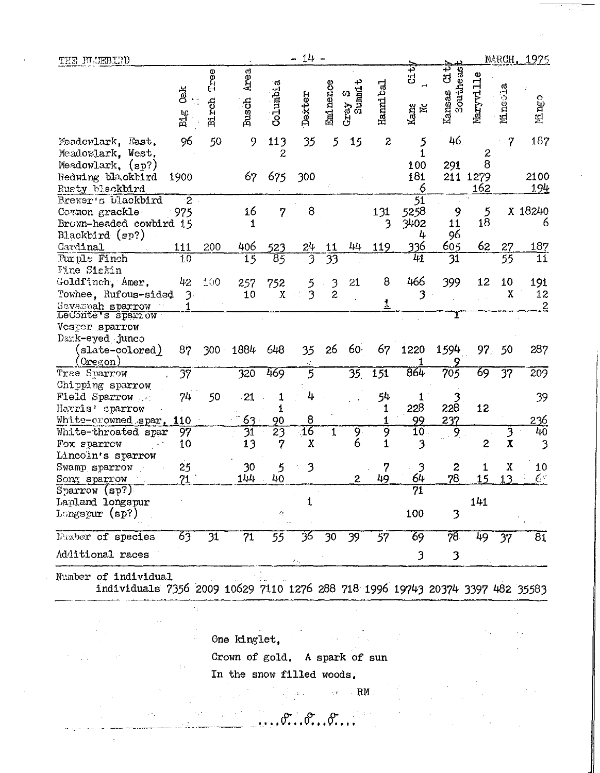| THE FLUEBIND                                                                       |                                                 |               |                       |                    | $14 -$               |                 |                         |                  |                                      |                              |                |              | MARCH, 1975     |
|------------------------------------------------------------------------------------|-------------------------------------------------|---------------|-----------------------|--------------------|----------------------|-----------------|-------------------------|------------------|--------------------------------------|------------------------------|----------------|--------------|-----------------|
|                                                                                    | <b>dak</b><br>$\operatorname{Bi}_{\mathcal{S}}$ | Tree<br>Birch | Area<br><b>Busch</b>  | Columbia           | Dexter               | Eminence        | ب<br>Summ1<br>Ω<br>Gray | Hanni bal        | Ci ti<br>Kans<br>Nc                  | ូ<br>ប<br>Southeas<br>Kansas | Maryville      | Mineola      | Ningo           |
| Meadowlark, East.<br>Meadowlark, West.                                             | 96                                              | 50            | 9                     | 113<br>2           | 35                   | 5               | 15                      | $\boldsymbol{z}$ | 5                                    | 46                           | 2              | 7            | 187             |
| Meadowlark, (sp?)<br>Redwing blackbird                                             | 1900                                            |               | 67                    | 675                | 300                  |                 |                         |                  | 100<br>181                           | 291                          | 8<br>211 1279  |              | 2100            |
| Rusty blackbird                                                                    |                                                 |               |                       |                    |                      |                 |                         |                  | 6                                    |                              | 162            |              | 194             |
| Brewer's blackbird<br>Common grackle<br>Brown-headed cowbird 15<br>Blackbird (sp?) | $2 -$<br>975                                    |               | 16<br>1               | 7                  | 8                    |                 |                         | 131<br>3         | $\overline{51}$<br>5258<br>3402<br>4 | 9<br>11<br>96                | 5<br>18        |              | X 18240<br>6    |
| Cardinal                                                                           | 111                                             | 200           | 406                   | 523                | $2\frac{1}{2}$       | 11              | 44                      | 119              | <u>336</u>                           | 605                          | 62             | 27           | 187             |
| Purple Finch<br>Fine Siskin                                                        | 10                                              |               | 15                    | $\overline{85}$    | 3                    | $\overline{33}$ |                         |                  | $\overline{41}$                      | $\overline{31}$              |                | 55           | $\overline{11}$ |
| Goldfinch, Amer.<br>Towhee, Rufous-sided                                           | 42<br>$\mathfrak{Z}$                            | 100           | 257<br>10             | 752<br>$\mathbf X$ | 3                    | 3<br>2          | 21                      | 8                | 466                                  | 399                          | 12             | 10<br>X      | 191<br>12       |
| Severmah sparrow<br>LeConte's sparrow                                              |                                                 |               |                       |                    |                      |                 |                         |                  |                                      |                              |                |              | $\overline{2}$  |
| Vesper sparrow<br>Dank-eyed junco                                                  |                                                 |               |                       |                    |                      |                 |                         |                  |                                      |                              |                |              |                 |
| slate-colored)<br>$0$ regon $)$                                                    | 87                                              | 300           | 1884                  | 648                | 35                   | 26              | 60.                     | 67               | 1220                                 | 1594                         | 97.            | 50           | 287             |
| Trae Sparrow                                                                       | $\overline{37}$                                 |               | 320                   | 469                | 5                    |                 | 35                      | 151              | 864                                  | 705                          | 69             | 37           | 209             |
| Chipping sparrow<br>Field Sparrow                                                  | 74                                              | 50            | 21                    |                    |                      |                 |                         | 54               |                                      |                              |                |              | 39              |
| Harris' eparrow                                                                    |                                                 |               |                       | 1                  |                      |                 |                         | 1                | 228                                  | 228                          | 12             |              |                 |
| White-crowned spar.<br>White-throated spar                                         | 110<br>97                                       |               | 63<br>$\overline{31}$ | 90<br>23           | 8<br>$\overline{16}$ | $\mathbf{1}$    | 9 <sup>1</sup>          | 9                | 99<br>$\overline{10}$                | 237<br>9                     |                | 3            | 236<br>40       |
| Fox sparrow                                                                        | 10                                              |               | 13                    | 7                  | $\boldsymbol{X}$     |                 | 6                       | 1                | 3                                    |                              | $\overline{c}$ | $\mathbf{x}$ | 3               |
| Lincoln's sparrow                                                                  |                                                 |               |                       |                    |                      |                 |                         |                  |                                      |                              |                |              |                 |
| Swamp sparrow                                                                      | 25                                              |               | 30                    | 5                  | 3                    |                 |                         |                  | 3                                    | 2                            |                | Χ            | 10              |
| Song sparrow                                                                       | 71 <sup>1</sup>                                 |               | 144                   | 40                 |                      |                 | 2                       | 49               | 64                                   | 78                           | 15             | 13           | $\epsilon$      |
| Sparrow (sp?)                                                                      |                                                 |               |                       |                    |                      |                 |                         |                  | 71                                   |                              |                |              |                 |
| Lapland longspur                                                                   |                                                 |               |                       |                    | 1                    |                 |                         |                  |                                      |                              | 141            |              |                 |
| $Longspur$ (sp?)                                                                   |                                                 |               |                       | 많                  |                      |                 |                         |                  | 100                                  | 3                            |                |              |                 |
| Number of species                                                                  | 63                                              | 31            | 71                    | 55                 | 36                   | 30              | 39                      | 57               | 69                                   | 78                           | 49             | 37           | $\overline{81}$ |
| Additional races                                                                   |                                                 |               |                       |                    | A.                   |                 |                         |                  | 3                                    | 3                            |                |              |                 |
| Number of individual                                                               |                                                 |               |                       |                    |                      |                 |                         |                  |                                      |                              |                |              |                 |

individuals 7356 2009 10629 7110 1276 288 718 1996 19743 20374 3397 482 35583

One kinglet,

 $\cdot$  ,

 $\bar{\chi}$ 

Crown of gold, A spark of sun

 $\label{eq:RMM} \mathbb{E} \left[ \mathbb{E} \left[ \mathbb{E} \left[ \mathbb{E} \left[ \mathbb{E} \left[ \mathbb{E} \left[ \mathbb{E} \left[ \mathbb{E} \left[ \mathbb{E} \left[ \mathbb{E} \left[ \mathbb{E} \left[ \mathbb{E} \left[ \mathbb{E} \left[ \mathbb{E} \left[ \mathbb{E} \left[ \mathbb{E} \left[ \mathbb{E} \left[ \mathbb{E} \left[ \mathbb{E} \left[ \mathbb{E} \left[ \mathbb{E} \left[ \mathbb{E} \left[ \mathbb{E} \left[ \mathbb{E$ 

.**. .. f'** 

In the snow filled woods,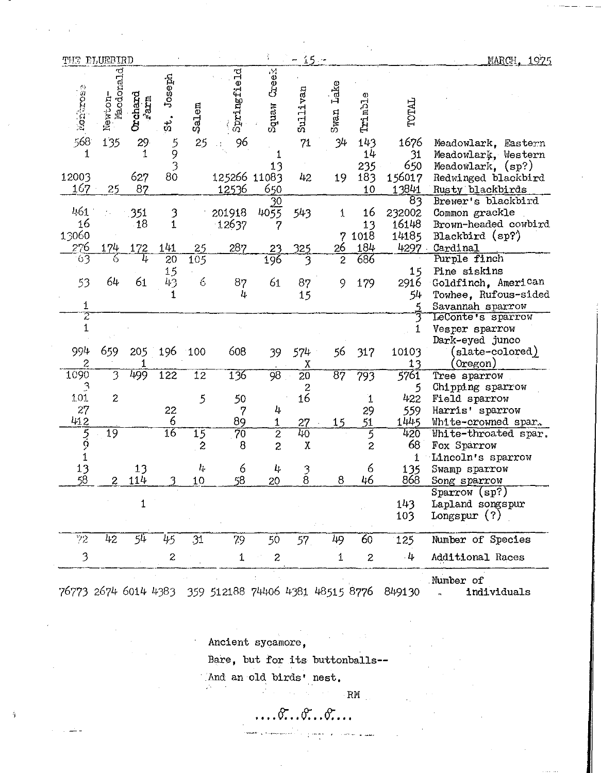| THE ELUEBIRD      |                      |                 |                      |                  |                       |                | $15 -$                                 |                            |                        |                              | MARCH. 1975                                                                           |
|-------------------|----------------------|-----------------|----------------------|------------------|-----------------------|----------------|----------------------------------------|----------------------------|------------------------|------------------------------|---------------------------------------------------------------------------------------|
| Montanes          | Macdonald<br>Newton- | Orchard<br>mare | Joseph<br>$\ddot{x}$ | Salem            | Springfield           | Creex<br>wanbg | Sullivan                               | Lake<br>Swan               | Trimble                | TOTAL                        |                                                                                       |
| 568               | 135                  | 29              |                      | 25               | 96                    |                | 71                                     | 34                         | 143                    | 1676                         | Meadowlark, Eastern                                                                   |
| 1<br>12003<br>167 | 25                   | 1<br>627<br>87  | 59<br>3<br>80        |                  | 125266 11083<br>12536 | 13<br>650      | 42                                     | 19                         | 14<br>235<br>183<br>10 | 31<br>650<br>156017<br>13841 | Meadowlark, Western<br>Meadowlark, $(sp?)$<br>Redwinged blackbird<br>Rusty blackbirds |
|                   |                      |                 |                      |                  |                       | 30             |                                        |                            |                        | 83                           | Brewer's blackbird                                                                    |
| 461               |                      | 351             | 3                    |                  | 201918                | 4055           | 543                                    | 1                          | 16                     | 232002                       | Common grackle                                                                        |
| 16                |                      | 18              | 1                    |                  | 12637                 | 7              |                                        |                            | 13                     | 16148                        | Brown-headed cowbird                                                                  |
| 13060             |                      |                 |                      |                  |                       |                |                                        | 7                          | 1018                   | 14185                        | Blackbird (sp?)                                                                       |
| 276               | 174                  | 172             | 141                  | 25               | 287                   | 23             | 325                                    | 26                         | 184                    | 4297                         | Cardinal                                                                              |
| 63                |                      | 4               | 20                   | $\overline{105}$ |                       | 196            | 3                                      | $\overline{c}$             | 686                    |                              | Purple finch                                                                          |
| 53                | 64                   | 61              | 15<br>43             | 6                | 87                    | 61             |                                        |                            |                        | 15                           | Pine siskins                                                                          |
|                   |                      |                 | 1                    |                  | 4                     |                | 87                                     | 9                          | 179                    | 2916<br>54                   | Goldfinch, American<br>Towhee, Rufous-sided                                           |
| 1                 |                      |                 |                      |                  |                       |                | 15                                     |                            |                        |                              | Savannah sparrow                                                                      |
| $\bar{z}$         |                      |                 |                      |                  |                       |                |                                        |                            |                        |                              | LeConte's sparrow                                                                     |
| $\mathbf 1$       |                      |                 |                      |                  |                       |                |                                        |                            |                        |                              | Vesper sparrow<br>Dark-eyed junco                                                     |
| 994<br>2          | 659                  | 205             | 196                  | 100              | 608                   | 39             | 574<br>χ                               | 56                         | 317                    | 10103<br>13                  | slate-colored)<br>Oregon)                                                             |
| 1090              | 3                    | 499             | 122                  | 12               | 136                   | 98             | $\overline{20}$                        | $\overline{8}\overline{7}$ | 793                    | 5761                         | Tree sparrow                                                                          |
| $\mathbf{C}$      |                      |                 |                      |                  |                       |                | $\begin{array}{c} 2 \\ 16 \end{array}$ |                            |                        | 5                            | Chipping sparrow                                                                      |
| 101               | $\boldsymbol{z}$     |                 |                      | 5                | 50                    |                |                                        |                            | 1                      | 422                          | Field sparrow                                                                         |
| 27                |                      |                 | 22                   |                  | 7                     | 4              |                                        |                            | 29                     | 559                          | Harris' sparrow                                                                       |
| 412               |                      |                 | 6                    |                  | 89                    | 1              | 27                                     | 15                         | 51                     | 1445                         | White-crowned spar.                                                                   |
| 5<br>9            | 19                   |                 | $\overline{16}$      | $\overline{15}$  | $\overline{70}$       | 2              | 40                                     |                            | 5                      | 420                          | White-throated spar.                                                                  |
|                   |                      |                 |                      | $\mathbf{z}$     | 8                     | $\tilde{z}$    | $\mathbf X$                            |                            | $\overline{c}$         | 68                           | Fox Sparrow                                                                           |
|                   |                      |                 |                      |                  |                       |                |                                        |                            |                        | $\mathbf{1}$                 | Lincoln's sparrow                                                                     |
| 13<br>58          |                      | 13              |                      | Ļ.               | 6                     | 4              | $\frac{3}{8}$                          |                            | 6                      | 135                          | Swamp sparrow                                                                         |
|                   | $\mathbf{2}$         | 114             | ٩                    | 10               | 58                    | 20             |                                        | 8                          | 46                     | 868                          | Song sparrow                                                                          |
|                   |                      | $\mathbf 1$     |                      |                  |                       |                |                                        |                            |                        | 143                          | Sparrow (sp?)<br>Lapland songspur                                                     |
|                   |                      |                 |                      |                  |                       |                |                                        |                            |                        | 103                          | Longspur $(?)$                                                                        |
| 72                | 42                   | 54              | 45                   | 31               | 79                    | 50             | 57 <sub>1</sub>                        | 49                         | 60                     | 125                          | Number of Species                                                                     |
| 3                 |                      |                 | $\boldsymbol{2}$     |                  | $\mathbf 1$           | 2              |                                        | 1                          | $\boldsymbol{z}$       | $-4$                         | Additional Races                                                                      |
|                   |                      |                 |                      |                  |                       |                |                                        |                            |                        |                              | Number of                                                                             |

76773 2674 6014 4383 359 512188 74406 4381 48515 8776 849130 individuals  $\mathbf{a}^{\dagger}$ 

> Ancient sycamore,  $\label{eq:2} \frac{1}{2} \left( \frac{1}{2} \right)^{2} \left( \frac{1}{2} \right)^{2} \left( \frac{1}{2} \right)^{2}$

Bare, but for its buttonballs--

And an old birds' nest.

 $\label{eq:2} \frac{1}{2}\sum_{i=1}^N\left[\frac{1}{2}\left(\frac{1}{2}\right)^2\right] \left[\frac{1}{2}\left(\frac{1}{2}\right)^2\right] \left[\frac{1}{2}\left(\frac{1}{2}\right)^2\right] \left[\frac{1}{2}\left(\frac{1}{2}\right)^2\right] \left[\frac{1}{2}\left(\frac{1}{2}\right)^2\right] \left[\frac{1}{2}\left(\frac{1}{2}\right)^2\right] \left[\frac{1}{2}\left(\frac{1}{2}\right)^2\right] \left[\frac{1}{2}\left(\frac{1}{2}\right)^2\right] \left[\frac{1}{2}\left(\frac{1$ RM

متعقد لواحدت

**... ..** *.. ...* 

أوالمستدار الكالمستمرك وأممته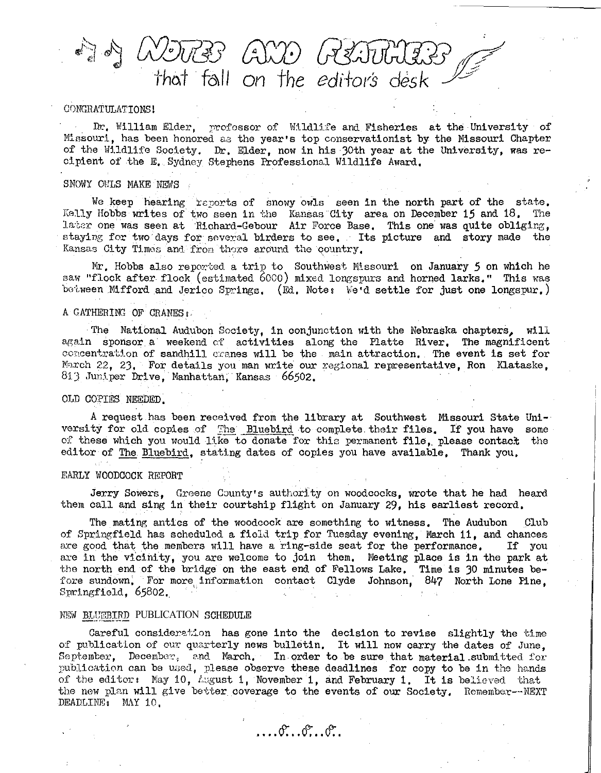$\langle \hat{A} \rangle \langle \hat{A} \rangle$  $\pi$ skil $\pi$ (?) that fall on the editor's desk

#### CONGRATULATIONS

Dr. William Elder, professor of Wildlife and Fisheries at the University of Missouri, has been honored as the year's top conservationist by the Missouri Chapter of the Wildlife Society. Dr. Elder, now in his 30th year at the University, was recipient of the E, Sydney Stephens Professional wildlife Award,

#### SNOWY OWLS MAKE NEWS

We keep hearing reports of snowy owls seen in the north part of the state. Kelly Hobbs writes of two seen in the Kansas City area on December 15 and 18. The later one was seen at Richard-Gebour Air Force Base. This one was quite obliging, staying for two days for several birders to see. Its picture and story made the Kansas City Times and from there around the country.

Mr. Hobbs also reported a trip to Southwest Missouri on January *5* on which he saw "flock after flock (estimated 6000) mixed longspurs and horned larks." This was between Mifford and Jerico Springs, (Ed. Note: We'd settle for just one longspur.)

#### A GATHERING OF CRANES :

The National Audubon Society, in conjunction with the Nebraska chapters, will again sponsor a weekend of activities along the Platte River, The magnificent concentration of sandhill cranes will be the main attraction. The event is set for March 22, 23, For details you man write our regional representative, Ron Klataske, 813 Juniper Drive, Manhattan, Kansas 66502.

#### OLD COPIES NEEDED.

A request has been received from the library at Southwest Missouri State University for old copies of The Bluebird to complete their files. If you have some of these which you would like to donate for this permanent file, please contact the editor of The. Bluebird, stating dates of copies you have available, Thank you,

#### EARLY WOODCOCK REPORT

Jerry Sowers. Greene County's authority on woodcocks, wrote that he had heard them call and sing in their courtship flight on January 29, his earliest record,

The mating antics of the woodcock are something to witness. The Audubon Club of Springfield has scheduled a field trip for Tuesday evening, March 11, and chances are good that the members will have a ring-side seat for the performance. If you are good that the members will have a ring-side seat for the performance. are in the vicinity, you are welcome to join them, Meeting place is in the park at the north end of the bridge on the east end of Fellows Lake. Time is 30 minutes before sundown, For more information contact Clyde Johnson, 847 North Lone Pine, Springfield, 65802.

#### NEW BLUEBIRD PUBLICATION SCHEDULE

Careful consideration has gone into the decision to revise slightly the time of publication of our quarterly news bulletin. It will now carry the dates of June, September, December, and March, In order to be sure that material submitted for publication can be used, please observe these deadlines for copy to be in the hands of the editor: May 10, August 1, November 1, and February 1. It is believed that the new plan will give better coverage to the events of our Society. Remember--NEXT DEADLINE: May 10.

 $\ldots$  or  $\ldots$  or  $\ldots$  or  $\ldots$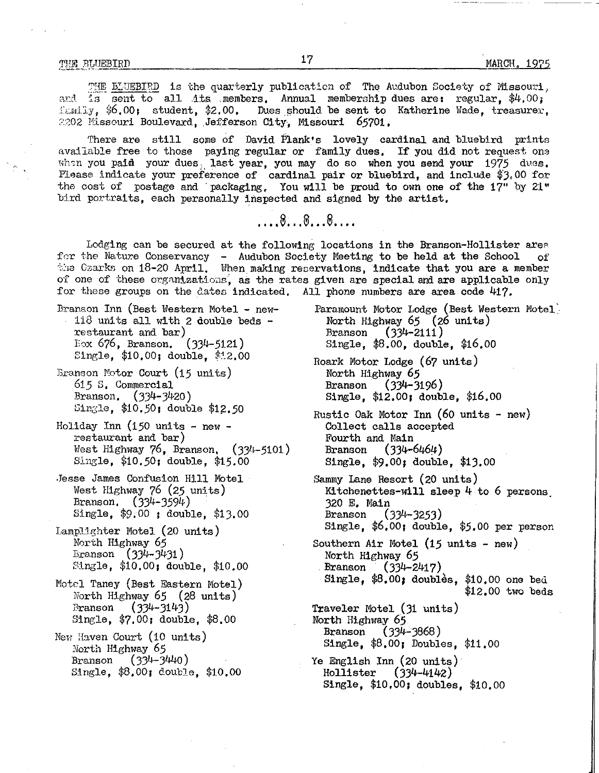*THE* BLUEBIRD is the quarterly publication of The Audubon Society of Missouri, and is sent to all its members. Annual membership dues are: regular. \$4.00;  $f:$   $\frac{1}{y}$ ,  $\frac{1}{y}$  (00; student,  $\frac{1}{z}$ , 00, Dues should be sent to Katherine Wade, treasurer, 2202 Missouri Boulevard, Jefferson City, Missouri 65701,

There are still some of David Plank's lovely cardinal and bluebird prints available free to those paying regular or family dues. If you did not request one when you paid your dues, last year, you may do so when you send your  $1975$  dues. Please indicate your preference of cardinal pair or bluebird, and include \$3.00 for the cost of postage and packaging. You will be proud to own one of the 17" by 21" bird portraits, each personally inspected and signed by the artist,

... ....

Lodging can be secured at the following locations in the Branson-Hollister area for the Nature Conservancy - Audubon Society Meeting to be held at the School of the Czarks on  $18-20$  April. When making reservations, indicate that you are a member of one of these organizations, as the rates given are special and are applicable only for these groups on the dates indicated, All phone numbers are area code 417.

- Branson Inn (Best Western Motel new- Paramount Motor Lodge (Best Western Motel' 118 units all with 2 double beds - North Highway 65 (26 units)<br>
restaurant and bar) Branson (334-2111) restaurant and bar)<br>Eox 676, Branson. (334-5121) Single, \$10,00; double, \$12.00
- Branson Motor Court (15 units) 615 S, Commercial Branson, (334-3420) Single, \$10.50; double *\$1.50*
- Holiday Inn  $(150 \text{ units} \text{new}$ restaurant and bar) *West Highway 76, Branson, (334-5101)* Single, \$10.50; double, \$15,00
- ,Jesse James Confusion Hill Motel West Highway 76 *(25* units) Branson, (334-3594) Single, \$9.00 ; double, \$13.00
- Lamplighter Motel (20 units) North Highway *65*  Branson (334-3431) Single, \$10,00; double, \$10.00
- Motel Taney (Best Eastern Motel) North Highway 65 (28 units) Branson (334-3143) Single, \$7.00; double, \$8.00
- New Haven Court (10 units) North Highway *65*  Branson (334-3440) Single, \$8.00; double, \$10,00
- Single, \$8.00, double, \$16.00
- Roark Motor Lodge (67 units) North Highway *65*  Branson (334-3196) Single, \$12.00; double, \$16.00
- Rustic Oak Motor Inn  $(60 \text{ units} \text{new})$ Collect calls accepted Fourth and Main Branson (334-6464) Single, \$9.00; double, \$13.00
- Sammy Lane Resort (20 units) Kitchenettes-will sleep 4 to 6 persons. 320 *E* Main Branson (334-3253) Single, \$6.00; double, *\$5.00* per person
- Southern Air Motel (15 units new)<br>North Highway 65 Branson (334-2417) Single,  $$8.00;$  doubles,  $$10.00$  one bed \$12.00 two beds
- Traveler Motel (31 units) North Highway *65*  Branson (334-3868) Single, \$8.00; Doubles, \$11.00
- Ye English Inn (20 units) Hollister (334-4142) Single, \$10.00; doubles, \$10.00